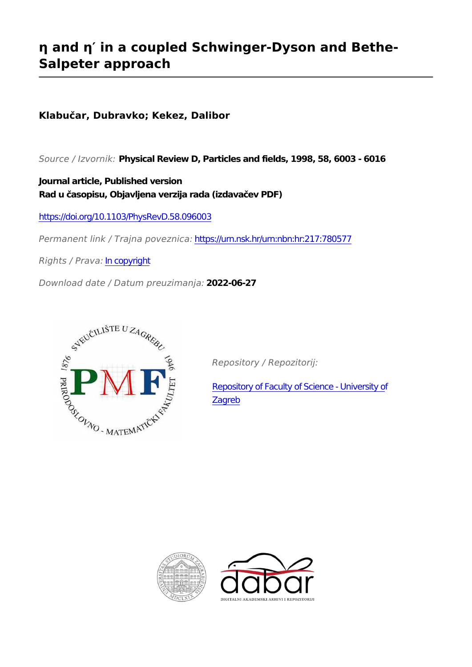# **η and η′ in a coupled Schwinger-Dyson and Bethe-Salpeter approach**

## **Klabučar, Dubravko; Kekez, Dalibor**

*Source / Izvornik:* **Physical Review D, Particles and fields, 1998, 58, 6003 - 6016**

**Journal article, Published version Rad u časopisu, Objavljena verzija rada (izdavačev PDF)**

<https://doi.org/10.1103/PhysRevD.58.096003>

*Permanent link / Trajna poveznica:* <https://urn.nsk.hr/urn:nbn:hr:217:780577>

*Rights / Prava:* [In copyright](http://rightsstatements.org/vocab/InC/1.0/)

*Download date / Datum preuzimanja:* **2022-06-27**



*Repository / Repozitorij:*

[Repository of Faculty of Science - University of](https://repozitorij.pmf.unizg.hr) [Zagreb](https://repozitorij.pmf.unizg.hr)



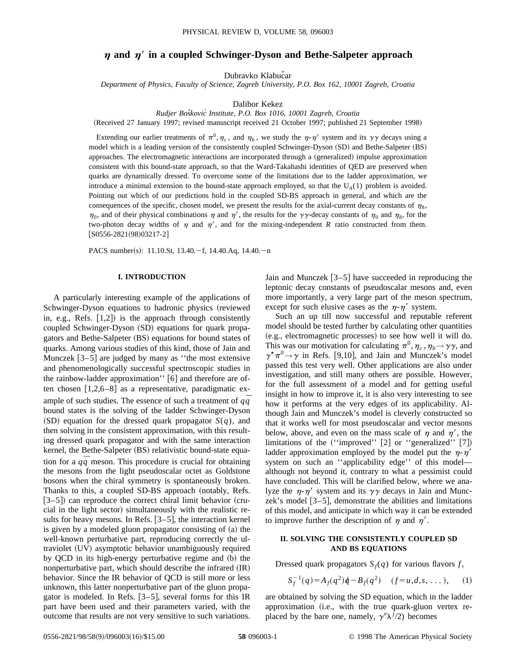## $\eta$  and  $\eta'$  in a coupled Schwinger-Dyson and Bethe-Salpeter approach

Dubravko Klabučar

*Department of Physics, Faculty of Science, Zagreb University, P.O. Box 162, 10001 Zagreb, Croatia*

Dalibor Kekez

*Rudjer Bosˇkovic´ Institute, P.O. Box 1016, 10001 Zagreb, Croatia*

(Received 27 January 1997; revised manuscript received 21 October 1997; published 21 September 1998)

Extending our earlier treatments of  $\pi^0$ ,  $\eta_c$ , and  $\eta_b$ , we study the  $\eta$ - $\eta'$  system and its  $\gamma\gamma$  decays using a model which is a leading version of the consistently coupled Schwinger-Dyson (SD) and Bethe-Salpeter (BS) approaches. The electromagnetic interactions are incorporated through a (generalized) impulse approximation consistent with this bound-state approach, so that the Ward-Takahashi identities of QED are preserved when quarks are dynamically dressed. To overcome some of the limitations due to the ladder approximation, we introduce a minimal extension to the bound-state approach employed, so that the  $U_A(1)$  problem is avoided. Pointing out which of our predictions hold in the coupled SD-BS approach in general, and which are the consequences of the specific, chosen model, we present the results for the axial-current decay constants of  $\eta_8$ ,  $\eta_0$ , and of their physical combinations  $\eta$  and  $\eta'$ , the results for the  $\gamma\gamma$ -decay constants of  $\eta_0$  and  $\eta_8$ , for the two-photon decay widths of  $\eta$  and  $\eta'$ , and for the mixing-independent *R* ratio constructed from them.  $[$ S0556-2821(98)03217-2]

PACS number(s): 11.10.St, 13.40. $-f$ , 14.40.Aq, 14.40. $-n$ 

### **I. INTRODUCTION**

A particularly interesting example of the applications of Schwinger-Dyson equations to hadronic physics (reviewed in, e.g., Refs.  $[1,2]$  is the approach through consistently coupled Schwinger-Dyson (SD) equations for quark propagators and Bethe-Salpeter (BS) equations for bound states of quarks. Among various studies of this kind, those of Jain and Munczek  $[3-5]$  are judged by many as "the most extensive and phenomenologically successful spectroscopic studies in the rainbow-ladder approximation''  $[6]$  and therefore are often chosen  $[1,2,6-8]$  as a representative, paradigmatic example of such studies. The essence of such a treatment of *qq* bound states is the solving of the ladder Schwinger-Dyson  $(SD)$  equation for the dressed quark propagator  $S(q)$ , and then solving in the consistent approximation, with this resulting dressed quark propagator and with the same interaction kernel, the Bethe-Salpeter (BS) relativistic bound-state equation for a *qq* meson. This procedure is crucial for obtaining the mesons from the light pseudoscalar octet as Goldstone bosons when the chiral symmetry is spontaneously broken. Thanks to this, a coupled SD-BS approach (notably, Refs.  $[3-5]$  can reproduce the correct chiral limit behavior (crucial in the light sector) simultaneously with the realistic results for heavy mesons. In Refs.  $[3-5]$ , the interaction kernel is given by a modeled gluon propagator consisting of  $(a)$  the well-known perturbative part, reproducing correctly the ultraviolet (UV) asymptotic behavior unambiguously required by QCD in its high-energy perturbative regime and (b) the nonperturbative part, which should describe the infrared  $(IR)$ behavior. Since the IR behavior of QCD is still more or less unknown, this latter nonperturbative part of the gluon propagator is modeled. In Refs.  $[3-5]$ , several forms for this IR part have been used and their parameters varied, with the outcome that results are not very sensitive to such variations.

Jain and Munczek  $[3-5]$  have succeeded in reproducing the leptonic decay constants of pseudoscalar mesons and, even more importantly, a very large part of the meson spectrum, except for such elusive cases as the  $\eta$ - $\eta'$  system.

Such an up till now successful and reputable referent model should be tested further by calculating other quantities (e.g., electromagnetic processes) to see how well it will do. This was our motivation for calculating  $\pi^0$ ,  $\eta_c$ ,  $\eta_b \rightarrow \gamma \gamma$ , and  $\gamma^* \pi^0 \rightarrow \gamma$  in Refs. [9,10], and Jain and Munczek's model passed this test very well. Other applications are also under investigation, and still many others are possible. However, for the full assessment of a model and for getting useful insight in how to improve it, it is also very interesting to see how it performs at the very edges of its applicability. Although Jain and Munczek's model is cleverly constructed so that it works well for most pseudoscalar and vector mesons below, above, and even on the mass scale of  $\eta$  and  $\eta'$ , the limitations of the  $(''improved'' [2] or ''generalized'' [7])$ ladder approximation employed by the model put the  $\eta$ - $\eta'$ system on such an ''applicability edge'' of this model although not beyond it, contrary to what a pessimist could have concluded. This will be clarified below, where we analyze the  $\eta$ - $\eta'$  system and its  $\gamma\gamma$  decays in Jain and Munczek's model  $[3-5]$ , demonstrate the abilities and limitations of this model, and anticipate in which way it can be extended to improve further the description of  $\eta$  and  $\eta'$ .

## **II. SOLVING THE CONSISTENTLY COUPLED SD AND BS EQUATIONS**

Dressed quark propagators  $S_f(q)$  for various flavors *f*,

$$
S_f^{-1}(q) = A_f(q^2)\dot{q} - B_f(q^2) \quad (f = u, d, s, \dots), \quad (1)
$$

are obtained by solving the SD equation, which in the ladder approximation (i.e., with the true quark-gluon vertex replaced by the bare one, namely,  $\gamma^{\nu} \lambda^{j} / 2$ ) becomes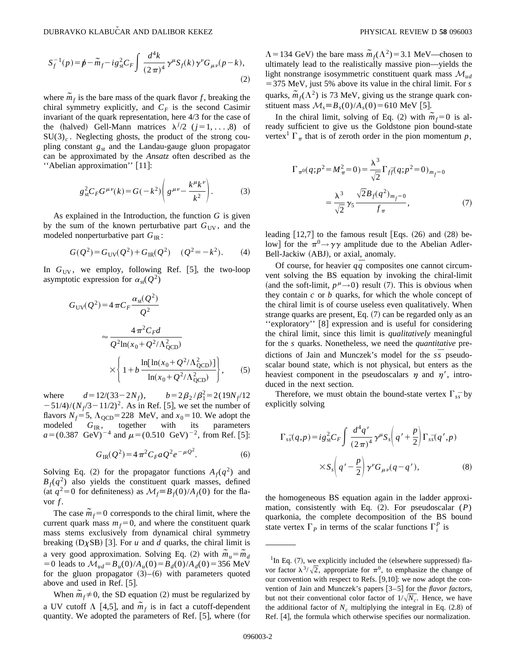$$
S_f^{-1}(p) = p - \tilde{m}_f - ig_{\text{st}}^2 C_F \int \frac{d^4k}{(2\pi)^4} \gamma^\mu S_f(k) \gamma^\nu G_{\mu\nu}(p - k),\tag{2}
$$

where  $\tilde{m}_f$  is the bare mass of the quark flavor *f*, breaking the chiral symmetry explicitly, and  $C_F$  is the second Casimir invariant of the quark representation, here 4/3 for the case of the (halved) Gell-Mann matrices  $\lambda^{j/2}$  ( $j=1, \ldots, 8$ ) of  $SU(3)_c$ . Neglecting ghosts, the product of the strong coupling constant  $g_{st}$  and the Landau-gauge gluon propagator can be approximated by the *Ansatz* often described as the "Abelian approximation" [11]:

$$
g_{\rm st}^2 C_F G^{\mu\nu}(k) = G(-k^2) \left( g^{\mu\nu} - \frac{k^{\mu}k^{\nu}}{k^2} \right). \tag{3}
$$

As explained in the Introduction, the function *G* is given by the sum of the known perturbative part  $G_{UV}$ , and the modeled nonperturbative part  $G_{IR}$ :

$$
G(Q2) = GUV(Q2) + GIR(Q2) \t(Q2 = -k2). \t(4)
$$

In  $G_{UV}$ , we employ, following Ref. [5], the two-loop asymptotic expression for  $\alpha_{\rm st}(Q^2)$ 

$$
G_{\text{UV}}(Q^2) = 4 \pi C_F \frac{\alpha_{\text{st}}(Q^2)}{Q^2}
$$
  

$$
\approx \frac{4 \pi^2 C_F d}{Q^2 \ln(x_0 + Q^2/\Lambda_{\text{QCD}}^2)}
$$

$$
\times \left\{ 1 + b \frac{\ln[\ln(x_0 + Q^2/\Lambda_{\text{QCD}}^2)]}{\ln(x_0 + Q^2/\Lambda_{\text{QCD}}^2)} \right\}, \qquad (5)
$$

where  $d=12/(33-2N_f)$ ,  $b=2\beta_2/\beta_1^2=2(19N_f/12)$  $-51/4$ )/( $N_f$ /3-11/2)<sup>2</sup>. As in Ref. [5], we set the number of flavors  $N_f$ =5,  $\Lambda_{\text{QCD}}$ =228 MeV, and  $x_0$ =10. We adopt the modeled  $G_{\text{IR}}$ , together with its parameters  $a=(0.387 \text{ GeV})^{-4}$  and  $\mu=(0.510 \text{ GeV})^{-2}$ , from Ref. [5]:

$$
G_{\rm IR}(Q^2) = 4\pi^2 C_F a Q^2 e^{-\mu Q^2}.
$$
 (6)

Solving Eq. (2) for the propagator functions  $A_f(q^2)$  and  $B_f(q^2)$  also yields the constituent quark masses, defined (at  $q^2=0$  for definiteness) as  $\mathcal{M}_f \equiv B_f(0)/A_f(0)$  for the flavor  $f$ .

The case  $\tilde{m}_f = 0$  corresponds to the chiral limit, where the current quark mass  $m_f=0$ , and where the constituent quark mass stems exclusively from dynamical chiral symmetry breaking  $(D \chi SB)$  [3]. For *u* and *d* quarks, the chiral limit is a very good approximation. Solving Eq. (2) with  $\tilde{m}_u = \tilde{m}_d$ =0 leads to  $\mathcal{M}_{ud} = B_u(0)/A_u(0) = B_d(0)/A_d(0) = 356$  MeV for the gluon propagator  $(3)$ – $(6)$  with parameters quoted above and used in Ref.  $[5]$ .

When  $\tilde{m}_f \neq 0$ , the SD equation (2) must be regularized by a UV cutoff  $\Lambda$  [4,5], and  $\overline{m_f}$  is in fact a cutoff-dependent quantity. We adopted the parameters of Ref.  $[5]$ , where (for  $\Lambda$  = 134 GeV) the bare mass  $\tilde{m}_f(\Lambda^2)$  = 3.1 MeV—chosen to ultimately lead to the realistically massive pion—yields the light nonstrange isosymmetric constituent quark mass *Mud* 5375 MeV, just 5% above its value in the chiral limit. For *s* quarks,  $\tilde{m}_f(\Lambda^2)$  is 73 MeV, giving us the strange quark constituent mass  $\mathcal{M}_s = B_s(0)/A_s(0) = 610 \text{ MeV} [5].$ 

In the chiral limit, solving of Eq. (2) with  $m_f = 0$  is already sufficient to give us the Goldstone pion bound-state vertex<sup>1</sup>  $\Gamma_{\pi}$  that is of zeroth order in the pion momentum *p*,

$$
\Gamma_{\pi^0}(q;p^2 = M_{\pi}^2 = 0) = \frac{\lambda^3}{\sqrt{2}} \Gamma_{f\bar{f}}(q;p^2 = 0)_{m_f = 0}
$$

$$
= \frac{\lambda^3}{\sqrt{2}} \gamma_5 \frac{\sqrt{2}B_f(q^2)_{m_f = 0}}{f_{\pi}}, \tag{7}
$$

leading  $[12,7]$  to the famous result  $[Eqs. (26)$  and  $(28)$  below] for the  $\pi^0 \rightarrow \gamma \gamma$  amplitude due to the Abelian Adler-Bell-Jackiw (ABJ), or axial, anomaly.

Of course, for heavier  $q\bar{q}$  composites one cannot circumvent solving the BS equation by invoking the chiral-limit (and the soft-limit,  $p^{\mu}\rightarrow 0$ ) result (7). This is obvious when they contain *c* or *b* quarks, for which the whole concept of the chiral limit is of course useless even qualitatively. When strange quarks are present, Eq.  $(7)$  can be regarded only as an "exploratory" [8] expression and is useful for considering the chiral limit, since this limit is *qualitatively* meaningful for the *s* quarks. Nonetheless, we need the *quantitative* predictions of Jain and Munczek's model for the *ss¯* pseudoscalar bound state, which is not physical, but enters as the heaviest component in the pseudoscalars  $\eta$  and  $\eta'$ , introduced in the next section.

Therefore, we must obtain the bound-state vertex  $\Gamma_{ss}^-$  by explicitly solving

$$
\Gamma_{s\overline{s}}(q,p) = ig_{\text{st}}^2 C_F \int \frac{d^4q'}{(2\pi)^4} \gamma^\mu S_s \left( q' + \frac{p}{2} \right) \Gamma_{s\overline{s}}(q',p)
$$

$$
\times S_s \left( q' - \frac{p}{2} \right) \gamma^\nu G_{\mu\nu}(q-q'), \tag{8}
$$

the homogeneous BS equation again in the ladder approximation, consistently with Eq.  $(2)$ . For pseudoscalar  $(P)$ quarkonia, the complete decomposition of the BS bound state vertex  $\Gamma_p$  in terms of the scalar functions  $\Gamma_i^P$  is

 ${}^{1}$ In Eq. (7), we explicitly included the (elsewhere suppressed) flavor factor  $\lambda^3/\sqrt{2}$ , appropriate for  $\pi^0$ , to emphasize the change of our convention with respect to Refs. [9,10]: we now adopt the convention of Jain and Munczek's papers [3–5] for the *flavor factors*, but not their conventional color factor of  $1/\sqrt{N_c}$ . Hence, we have the additional factor of  $N_c$  multiplying the integral in Eq.  $(2.8)$  of Ref. [4], the formula which otherwise specifies our normalization.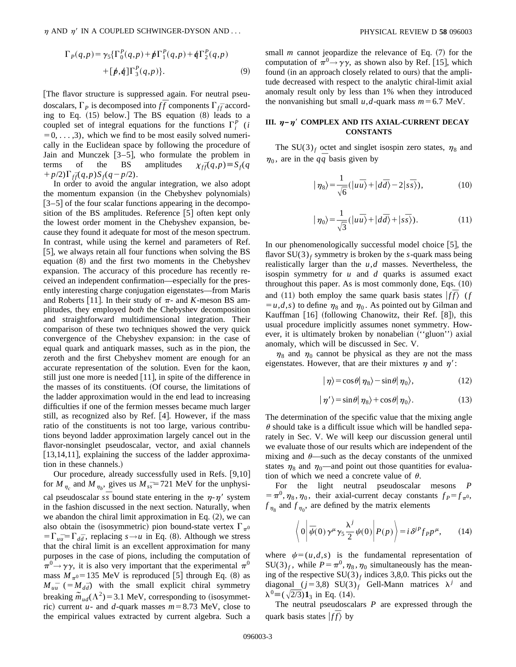$$
\Gamma_{p}(q,p) = \gamma_{5} {\Gamma_{0}^{p}(q,p) + p \Gamma_{1}^{p}(q,p) + q \Gamma_{2}^{p}(q,p) + [p,q] \Gamma_{3}^{p}(q,p)}.
$$
\n(9)

[The flavor structure is suppressed again. For neutral pseudoscalars,  $\Gamma_P$  is decomposed into  $f\bar{f}$  components  $\Gamma_{f\bar{f}}$  according to Eq.  $(15)$  below.] The BS equation  $(8)$  leads to a coupled set of integral equations for the functions  $\Gamma_i^P$  (*i*  $=0, \ldots, 3$ , which we find to be most easily solved numerically in the Euclidean space by following the procedure of Jain and Munczek  $[3-5]$ , who formulate the problem in terms of the BS amplitudes  $\chi_{f\bar{f}}(q,p) \equiv S_f(q)$  $+p/2$ ) $\Gamma_{f\bar{f}}(q,p)S_{f}(q-p/2)$ .

In order to avoid the angular integration, we also adopt the momentum expansion (in the Chebyshev polynomials)  $[3-5]$  of the four scalar functions appearing in the decomposition of the BS amplitudes. Reference  $[5]$  often kept only the lowest order moment in the Chebyshev expansion, because they found it adequate for most of the meson spectrum. In contrast, while using the kernel and parameters of Ref. [5], we always retain all four functions when solving the  $BS$ equation  $(8)$  and the first two moments in the Chebyshev expansion. The accuracy of this procedure has recently received an independent confirmation—especially for the presently interesting charge conjugation eigenstates—from Maris and Roberts [11]. In their study of  $\pi$ - and *K*-meson BS amplitudes, they employed *both* the Chebyshev decomposition and straightforward multidimensional integration. Their comparison of these two techniques showed the very quick convergence of the Chebyshev expansion: in the case of equal quark and antiquark masses, such as in the pion, the zeroth and the first Chebyshev moment are enough for an accurate representation of the solution. Even for the kaon, still just one more is needed  $[11]$ , in spite of the difference in the masses of its constituents. (Of course, the limitations of the ladder approximation would in the end lead to increasing difficulties if one of the fermion messes became much larger still, as recognized also by Ref. [4]. However, if the mass ratio of the constituents is not too large, various contributions beyond ladder approximation largely cancel out in the flavor-nonsinglet pseudoscalar, vector, and axial channels [13,14,11], explaining the success of the ladder approximation in these channels.)

Our procedure, already successfully used in Refs.  $[9,10]$ for  $M_{\eta_c}$  and  $M_{\eta_b}$ , gives us  $M_{ss}$ =721 MeV for the unphysical pseudoscalar  $s\bar{s}$  bound state entering in the  $\eta$ - $\eta'$  system in the fashion discussed in the next section. Naturally, when we abandon the chiral limit approximation in Eq.  $(2)$ , we can also obtain the (isosymmetric) pion bound-state vertex  $\Gamma_{\pi^0}$  $=\Gamma_{\bar{u}\bar{d}} - \Gamma_{\bar{d}\bar{d}}$ , replacing  $s \rightarrow u$  in Eq. (8). Although we stress that the chiral limit is an excellent approximation for many purposes in the case of pions, including the computation of  $\pi^0 \rightarrow \gamma \gamma$ , it is also very important that the experimental  $\pi^0$ mass  $M_{\pi0}$ =135 MeV is reproduced [5] through Eq. (8) as  $M_{uu}$ <sup> $=$ </sup> (= $M_{d\bar{d}}$ ) with the small explicit chiral symmetry breaking  $\tilde{m}_{ud}(\Lambda^2)$  = 3.1 MeV, corresponding to (isosymmetric) current *u*- and *d*-quark masses  $m=8.73$  MeV, close to the empirical values extracted by current algebra. Such a small *m* cannot jeopardize the relevance of Eq.  $(7)$  for the computation of  $\pi^0 \rightarrow \gamma \gamma$ , as shown also by Ref. [15], which found (in an approach closely related to ours) that the amplitude decreased with respect to the analytic chiral-limit axial anomaly result only by less than 1% when they introduced the nonvanishing but small *u*,*d*-quark mass  $m=6.7$  MeV.

### **III.**  $\eta$ – $\eta$ <sup>'</sup> COMPLEX AND ITS AXIAL-CURRENT DECAY **CONSTANTS**

The SU(3)<sub>f</sub> octet and singlet isospin zero states,  $\eta_8$  and  $\eta_0$ , are in the  $q\bar{q}$  basis given by

$$
|\eta_8\rangle = \frac{1}{\sqrt{6}} (|u\overline{u}\rangle + |d\overline{d}\rangle - 2|s\overline{s}\rangle),
$$
 (10)

$$
|\eta_0\rangle = \frac{1}{\sqrt{3}} (|u\overline{u}\rangle + |d\overline{d}\rangle + |s\overline{s}\rangle). \tag{11}
$$

In our phenomenologically successful model choice  $[5]$ , the flavor  $SU(3)_f$  symmetry is broken by the *s*-quark mass being realistically larger than the *u*,*d* masses. Nevertheless, the isospin symmetry for *u* and *d* quarks is assumed exact throughout this paper. As is most commonly done, Eqs.  $(10)$ and (11) both employ the same quark basis states  $|f\bar{f}\rangle$  (*f*  $= u, d, s$  to define  $\eta_8$  and  $\eta_0$ . As pointed out by Gilman and Kauffman  $[16]$  (following Chanowitz, their Ref.  $[8]$ ), this usual procedure implicitly assumes nonet symmetry. However, it is ultimately broken by nonabelian ("gluon") axial anomaly, which will be discussed in Sec. V.

 $\eta_8$  and  $\eta_0$  cannot be physical as they are not the mass eigenstates. However, that are their mixtures  $\eta$  and  $\eta'$ :

$$
|\eta\rangle = \cos\theta|\eta_8\rangle - \sin\theta|\eta_0\rangle, \qquad (12)
$$

$$
|\eta'\rangle = \sin\theta|\eta_8\rangle + \cos\theta|\eta_0\rangle. \tag{13}
$$

The determination of the specific value that the mixing angle  $\theta$  should take is a difficult issue which will be handled separately in Sec. V. We will keep our discussion general until we evaluate those of our results which are independent of the mixing and  $\theta$ —such as the decay constants of the unmixed states  $\eta_8$  and  $\eta_0$ —and point out those quantities for evaluation of which we need a concrete value of  $\theta$ .

For the light neutral pseudoscalar mesons *P*  $= \pi^0, \eta_8, \eta_0$ , their axial-current decay constants  $f_P = f_{\pi^0}$ ,  $f_{\eta_8}$  and  $f_{\eta_0}$ , are defined by the matrix elements

$$
\left\langle 0 \left| \bar{\psi}(0) \gamma^{\mu} \gamma_5 \frac{\lambda^j}{2} \psi(0) \right| P(p) \right\rangle = i \delta^{jP} f_{P} p^{\mu}, \qquad (14)
$$

where  $\psi=(u,d,s)$  is the fundamental representation of  $SU(3)_f$ , while  $P = \pi^0, \eta_8, \eta_0$  simultaneously has the meaning of the respective  $SU(3)_f$  indices 3,8,0. This picks out the diagonal ( $j=3,8$ ) SU(3)<sub>f</sub> Gell-Mann matrices  $\lambda^j$  and  $\lambda^{0} \equiv (\sqrt{2}/3) \mathbf{1}_{3}$  in Eq. (14).

The neutral pseudoscalars *P* are expressed through the quark basis states  $|f\bar{f}\rangle$  by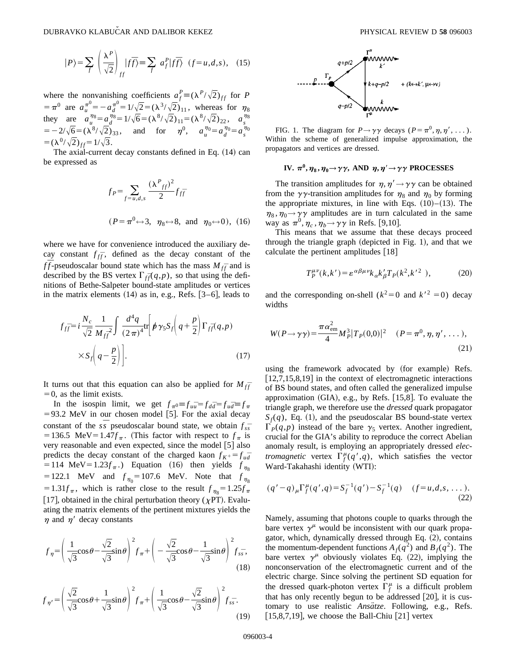$$
|P\rangle = \sum_{f} \left(\frac{\lambda^P}{\sqrt{2}}\right)_{ff} |f\overline{f}\rangle \equiv \sum_{f} a_f^P |f\overline{f}\rangle \quad (f = u, d, s), \quad (15)
$$

where the nonvanishing coefficients  $a_f^P \equiv (\lambda^P/\sqrt{2})_{ff}$  for *P*  $= \pi^0$  are  $a_u^{\pi^0} = -a_d^{\pi^0} = 1/\sqrt{2} = (\lambda^3/\sqrt{2})_{11}$ , whereas for  $\eta_8$ they are  $a_u^{\eta_8} = a_d^{\eta_8} = 1/\sqrt{6} = (\lambda^8/\sqrt{2})_{11} = (\lambda^8/\sqrt{2})_{22}$ ,  $a_s^{\eta_8}$  $s = -2/\sqrt{6} = (\lambda^8/\sqrt{2})_{33}$ , and for  $\eta^0$ ,  $a_u^{\eta_0} = a_d^{\eta_0} = a_s^{\eta_0}$  $= (\lambda^0/\sqrt{2})_{ff} = 1/\sqrt{3}.$ 

The axial-current decay constants defined in Eq.  $(14)$  can be expressed as

$$
f_P = \sum_{f=u,d,s} \frac{(\lambda^P f)^2}{2} f_{f\bar{f}}
$$
  
( $P = \pi^0 \leftrightarrow 3$ ,  $\eta_8 \leftrightarrow 8$ , and  $\eta_0 \leftrightarrow 0$ ), (16)

where we have for convenience introduced the auxiliary decay constant  $f_{f\bar{f}}$ , defined as the decay constant of the *ff*-pseudoscalar bound state which has the mass  $M_{f\bar{f}}$  and is described by the BS vertex  $\Gamma_{f\bar{f}}(q,p)$ , so that using the definitions of Bethe-Salpeter bound-state amplitudes or vertices in the matrix elements  $(14)$  as in, e.g., Refs.  $[3-6]$ , leads to

$$
f_{f\overline{f}} = i \frac{N_c}{\sqrt{2}} \frac{1}{M_{f\overline{f}}^2} \int \frac{d^4q}{(2\pi)^4} \text{tr} \left[ p \gamma_5 S_f \left( q + \frac{p}{2} \right) \Gamma_{f\overline{f}}(q, p) \right]
$$

$$
\times S_f \left( q - \frac{p}{2} \right) \bigg]. \tag{17}
$$

It turns out that this equation can also be applied for  $M_{f\bar{f}}$  $=0$ , as the limit exists.

In the isospin limit, we get  $f_{\pi^0} = f_{\mu\bar{d}} = f_{d\bar{d}} = f_{\mu\bar{d}} = f_{\pi}$  $= 93.2$  MeV in our chosen model [5]. For the axial decay constant of the  $s\overline{s}$  pseudoscalar bound state, we obtain  $f_{s\overline{s}}$ =136.5 MeV=1.47 $f_\pi$ . (This factor with respect to  $f_\pi$  is very reasonable and even expected, since the model  $[5]$  also predicts the decay constant of the charged kaon  $f_{K^+} = f_{u\bar{d}}$  $=$  114 MeV $=$  1.23 $f_\pi$ .) Equation (16) then yields  $f_{\eta_s}$  $= 122.1$  MeV and  $f_{\eta_0} = 107.6$  MeV. Note that  $f_{\eta_8}$  $=1.31f_\pi$ , which is rather close to the result  $f_{\eta_8}=1.25f_\pi$ [17], obtained in the chiral perturbation theory ( $\chi PT$ ). Evaluating the matrix elements of the pertinent mixtures yields the  $\eta$  and  $\eta'$  decay constants

$$
f_{\eta} = \left(\frac{1}{\sqrt{3}}\cos\theta - \frac{\sqrt{2}}{\sqrt{3}}\sin\theta\right)^{2} f_{\pi} + \left(-\frac{\sqrt{2}}{\sqrt{3}}\cos\theta - \frac{1}{\sqrt{3}}\sin\theta\right)^{2} f_{s\bar{s}},
$$
\n(18)

$$
f_{\eta'} = \left(\frac{\sqrt{2}}{\sqrt{3}}\cos\theta + \frac{1}{\sqrt{3}}\sin\theta\right)^2 f_{\pi} + \left(\frac{1}{\sqrt{3}}\cos\theta - \frac{\sqrt{2}}{\sqrt{3}}\sin\theta\right)^2 f_{s\bar{s}}.
$$
\n(19)



FIG. 1. The diagram for  $P \rightarrow \gamma \gamma$  decays ( $P = \pi^0, \eta, \eta', \dots$ ). Within the scheme of generalized impulse approximation, the propagators and vertices are dressed.

## **IV.**  $\pi^0$ ,  $\eta_8$ ,  $\eta_0 \rightarrow \gamma \gamma$ , AND  $\eta$ ,  $\eta' \rightarrow \gamma \gamma$  **PROCESSES**

The transition amplitudes for  $\eta$ ,  $\eta' \rightarrow \gamma \gamma$  can be obtained from the  $\gamma\gamma$ -transition amplitudes for  $\eta_8$  and  $\eta_0$  by forming the appropriate mixtures, in line with Eqs.  $(10)–(13)$ . The  $\eta_8$ ,  $\eta_0 \rightarrow \gamma \gamma$  amplitudes are in turn calculated in the same way as  $\pi^0$ ,  $\eta_c$ ,  $\eta_b \rightarrow \gamma \gamma$  in Refs. [9,10].

This means that we assume that these decays proceed through the triangle graph (depicted in Fig. 1), and that we calculate the pertinent amplitudes  $[18]$ 

$$
T_P^{\mu\nu}(k, k') = \varepsilon^{\alpha\beta\mu\nu}k_{\alpha}k'_{\beta}T_P(k^2, k'^2),\tag{20}
$$

and the corresponding on-shell  $(k^2=0)$  and  $k^2=0$ ) decay widths

$$
W(P \to \gamma \gamma) = \frac{\pi \alpha_{\text{em}}^2}{4} M_P^3 |T_P(0,0)|^2 \quad (P = \pi^0, \eta, \eta', \dots),
$$
\n(21)

using the framework advocated by (for example) Refs.  $[12,7,15,8,19]$  in the context of electromagnetic interactions of BS bound states, and often called the generalized impulse approximation  $(GIA)$ , e.g., by Refs.  $[15,8]$ . To evaluate the triangle graph, we therefore use the *dressed* quark propagator  $S_f(q)$ , Eq. (1), and the pseudoscalar BS bound-state vertex  $\Gamma_P(q,p)$  instead of the bare  $\gamma_5$  vertex. Another ingredient, crucial for the GIA's ability to reproduce the correct Abelian anomaly result, is employing an appropriately dressed *electromagnetic* vertex  $\Gamma_f^{\mu}(q', q)$ , which satisfies the vector Ward-Takahashi identity (WTI):

$$
(q'-q)_{\mu} \Gamma_f^{\mu}(q',q) = S_f^{-1}(q') - S_f^{-1}(q) \quad (f = u, d, s, \dots). \tag{22}
$$

Namely, assuming that photons couple to quarks through the bare vertex  $\gamma^{\mu}$  would be inconsistent with our quark propagator, which, dynamically dressed through Eq.  $(2)$ , contains the momentum-dependent functions  $A_f(q^2)$  and  $B_f(q^2)$ . The bare vertex  $\gamma^{\mu}$  obviously violates Eq. (22), implying the nonconservation of the electromagnetic current and of the electric charge. Since solving the pertinent SD equation for the dressed quark-photon vertex  $\Gamma_f^{\mu}$  is a difficult problem that has only recently begun to be addressed  $[20]$ , it is customary to use realistic *Ansätze*. Following, e.g., Refs.  $[15,8,7,19]$ , we choose the Ball-Chiu  $[21]$  vertex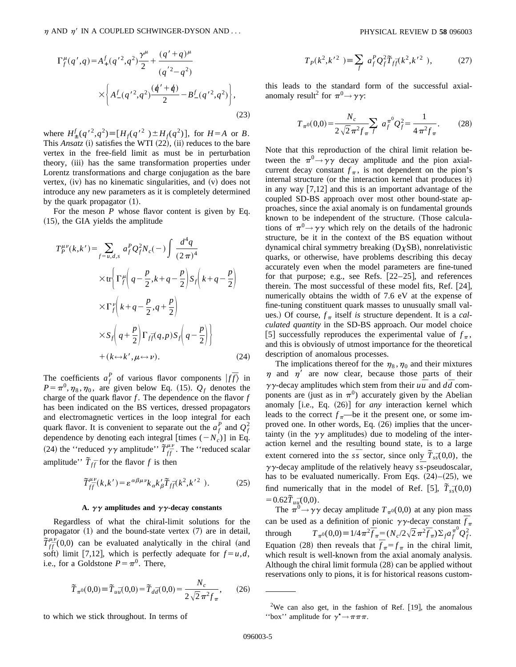$$
\Gamma_f^{\mu}(q',q) = A_+^f(q'^2,q^2) \frac{\gamma^{\mu}}{2} + \frac{(q'+q)^{\mu}}{(q'^2-q^2)} \times \left\{ A_-^f(q'^2,q^2) \frac{(q'+q)}{2} - B_-^f(q'^2,q^2) \right\},
$$
\n(23)

where  $H^f_{\pm}(q'^2, q^2) \equiv [H_f(q'^2)] \pm H_f(q^2)]$ , for  $H = A$  or *B*. This  $Ansatz$  (i) satisfies the WTI  $(22)$ , (ii) reduces to the bare vertex in the free-field limit as must be in perturbation theory, (iii) has the same transformation properties under Lorentz transformations and charge conjugation as the bare vertex,  $(iv)$  has no kinematic singularities, and  $(v)$  does not introduce any new parameters as it is completely determined by the quark propagator  $(1)$ .

For the meson *P* whose flavor content is given by Eq.  $(15)$ , the GIA yields the amplitude

$$
T_P^{\mu\nu}(k, k') = \sum_{f=u,d,s} a_f^P Q_f^2 N_c(-) \int \frac{d^4 q}{(2\pi)^4}
$$
  
 
$$
\times \text{tr} \left\{ \Gamma_f^{\mu} \left( q - \frac{p}{2}, k + q - \frac{p}{2} \right) S_f \left( k + q - \frac{p}{2} \right) \right\}
$$
  
 
$$
\times \Gamma_f^{\nu} \left( k + q - \frac{p}{2}, q + \frac{p}{2} \right)
$$
  
 
$$
\times S_f \left( q + \frac{p}{2} \right) \Gamma_{f\overline{f}}(q, p) S_f \left( q - \frac{p}{2} \right) \right\}
$$
  
 
$$
+ (k \leftrightarrow k', \mu \leftrightarrow \nu).
$$
 (24)

The coefficients  $a_f^P$  of various flavor components  $|f\bar{f}\rangle$  in  $P = \pi^0, \eta_8, \eta_0$ , are given below Eq. (15).  $Q_f$  denotes the charge of the quark flavor  $f$ . The dependence on the flavor  $f$ has been indicated on the BS vertices, dressed propagators and electromagnetic vertices in the loop integral for each quark flavor. It is convenient to separate out the  $a_f^P$  and  $Q_f^2$ dependence by denoting each integral [times  $(-N_c)$ ] in Eq. (24) the "reduced  $\gamma\gamma$  amplitude"  $\tilde{T}^{\mu\nu}_{f\bar{f}}$ . The "reduced scalar amplitude''  $\tilde{T}_{f\bar{f}}$  for the flavor *f* is then

$$
\widetilde{T}^{\mu\nu}_{f\overline{f}}(k,k') = \varepsilon^{\alpha\beta\mu\nu} k_{\alpha} k'_{\beta} \widetilde{T}_{f\overline{f}}(k^2, k'^2) \,. \tag{25}
$$

### A.  $\gamma\gamma$  amplitudes and  $\gamma\gamma$ -decay constants

Regardless of what the chiral-limit solutions for the propagator  $(1)$  and the bound-state vertex  $(7)$  are in detail,  $\widetilde{T}^{\mu\nu}_{f\bar{f}}(0,0)$  can be evaluated analytically in the chiral (and soft) limit [7,12], which is perfectly adequate for  $f = u, d$ , i.e., for a Goldstone  $P = \pi^0$ . There,

$$
\widetilde{T}_{\pi^0}(0,0) \equiv \widetilde{T}_{u\bar{u}}(0,0) = \widetilde{T}_{d\bar{d}}(0,0) = \frac{N_c}{2\sqrt{2}\pi^2 f_\pi},\qquad(26)
$$

to which we stick throughout. In terms of

$$
T_P(k^2, k^{\prime 2}) \equiv \sum_f a_f^P Q_f^2 \tilde{T}_{f\bar{f}}(k^2, k^{\prime 2}), \qquad (27)
$$

this leads to the standard form of the successful axialanomaly result<sup>2</sup> for  $\pi^0 \rightarrow \gamma \gamma$ :

$$
T_{\pi^0}(0,0) = \frac{N_c}{2\sqrt{2}\pi^2 f_\pi} \sum_f a_f^{\pi^0} Q_f^2 = \frac{1}{4\pi^2 f_\pi}.
$$
 (28)

Note that this reproduction of the chiral limit relation between the  $\pi^0 \rightarrow \gamma \gamma$  decay amplitude and the pion axialcurrent decay constant  $f_{\pi}$ , is not dependent on the pion's internal structure (or the interaction kernel that produces it) in any way  $[7,12]$  and this is an important advantage of the coupled SD-BS approach over most other bound-state approaches, since the axial anomaly is on fundamental grounds known to be independent of the structure. (Those calculations of  $\pi^0 \rightarrow \gamma \gamma$  which rely on the details of the hadronic structure, be it in the context of the BS equation without dynamical chiral symmetry breaking  $(D \chi SB)$ , nonrelativistic quarks, or otherwise, have problems describing this decay accurately even when the model parameters are fine-tuned for that purpose; e.g., see Refs.  $[22-25]$ , and references therein. The most successful of these model fits, Ref.  $[24]$ , numerically obtains the width of 7.6 eV at the expense of fine-tuning constituent quark masses to unusually small values.) Of course,  $f_{\pi}$  itself *is* structure dependent. It is a *calculated quantity* in the SD-BS approach. Our model choice [5] successfully reproduces the experimental value of  $f_{\pi}$ , and this is obviously of utmost importance for the theoretical description of anomalous processes.

The implications thereof for the  $\eta_8$ ,  $\eta_0$  and their mixtures  $\eta$  and  $\eta'$  are now clear, because those parts of their  $\gamma\gamma$ -decay amplitudes which stem from their  $u\bar{u}$  and  $d\bar{d}$  components are (just as in  $\pi$ <sup>0</sup>) accurately given by the Abelian anomaly [i.e., Eq. (26)] for *any* interaction kernel which leads to the correct  $f_{\pi}$ —be it the present one, or some improved one. In other words, Eq.  $(26)$  implies that the uncertainty (in the  $\gamma\gamma$  amplitudes) due to modeling of the interaction kernel and the resulting bound state, is to a large extent cornered into the  $s\overline{s}$  sector, since only  $\overline{T}_{s\overline{s}}(0,0)$ , the  $\gamma\gamma$ -decay amplitude of the relatively heavy  $s\bar{s}$ -pseudoscalar, has to be evaluated numerically. From Eqs.  $(24)–(25)$ , we find numerically that in the model of Ref.  $[5]$ ,  $\tilde{T}_{s\bar{s}}(0,0)$  $=0.62\tilde{T}_{u\bar{u}}(0,0).$ 

The  $\pi^0 \rightarrow \gamma \gamma$  decay amplitude  $T_{\pi^0}(0,0)$  at any pion mass can be used as a definition of pionic  $\gamma \gamma$ -decay constant  $\bar{f}_\pi$ through  $T_{\pi^0}(0,0) = 1/4\pi^2 \bar{f}_{\pi} = (N_c/2\sqrt{2}\pi^2 \bar{f}_{\pi}) \Sigma_f a_f^{\pi^0} Q_f^{\pi^0}$ Equation (28) then reveals that  $\overline{f}_{\pi} = f_{\pi}$  in the chiral limit, which result is well-known from the axial anomaly analysis. Although the chiral limit formula  $(28)$  can be applied without reservations only to pions, it is for historical reasons custom-

<sup>&</sup>lt;sup>2</sup>We can also get, in the fashion of Ref. [19], the anomalous "box" amplitude for  $\gamma^* \rightarrow \pi \pi \pi$ .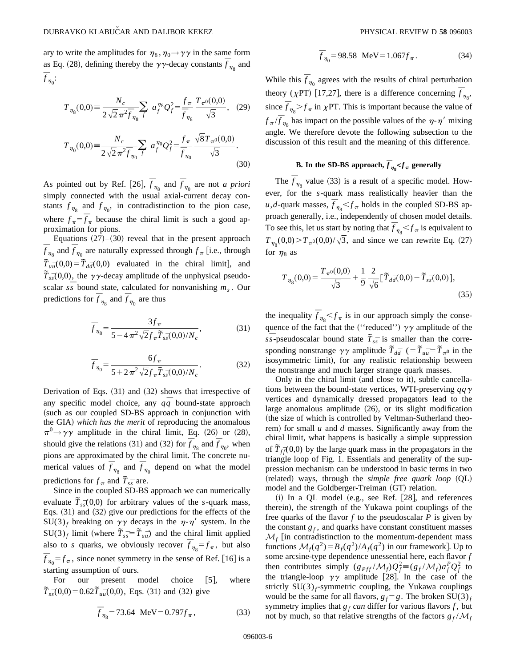ary to write the amplitudes for  $\eta_8, \eta_0 \rightarrow \gamma \gamma$  in the same form as Eq. (28), defining thereby the  $\gamma\gamma$ -decay constants  $\bar{f}_{\eta_8}$  and  $\overline{f}_{\eta_0}$ :

$$
T_{\eta_8}(0,0) = \frac{N_c}{2\sqrt{2}\pi^2 \bar{f}_{\eta_8}} \sum_f a_f^{\eta_8} Q_f^2 = \frac{f_\pi}{\bar{f}_{\eta_8}} \frac{T_{\pi^0}(0,0)}{\sqrt{3}}, \quad (29)
$$

$$
T_{\eta_0}(0,0) = \frac{N_c}{2\sqrt{2}\pi^2 \bar{f}_{\eta_0} f} \sum_{f} a_f^{\eta_0} Q_f^2 = \frac{f_\pi}{\bar{f}_{\eta_0}} \frac{\sqrt{8}T_{\pi^0}(0,0)}{\sqrt{3}}.
$$
\n(30)

As pointed out by Ref. [26],  $\bar{f}_{\eta_8}$  and  $\bar{f}_{\eta_0}$  are not *a priori* simply connected with the usual axial-current decay constants  $f_{\eta_8}$  and  $f_{\eta_0}$ , in contradistinction to the pion case, where  $f_{\pi} = \overline{f}_{\pi}$  because the chiral limit is such a good approximation for pions.

Equations  $(27)$ – $(30)$  reveal that in the present approach  $\overline{f}_{\eta_8}$  and  $\overline{f}_{\eta_0}$  are naturally expressed through  $f_\pi$  [i.e., through  $\tilde{T}_{u\bar{u}}(0,0) = \tilde{T}_{d\bar{d}}(0,0)$  evaluated in the chiral limit], and  $\tilde{T}_{s\bar{s}}(0,0)$ , the  $\gamma\gamma$ -decay amplitude of the unphysical pseudoscalar  $s\bar{s}$  bound state, calculated for nonvanishing  $m_s$ . Our predictions for  $\overline{f}_{\eta_8}$  and  $\overline{f}_{\eta_0}$  are thus

$$
\overline{f}_{\eta_8} = \frac{3f_\pi}{5 - 4\pi^2 \sqrt{2} f_\pi \overline{T}_{s\overline{s}}(0,0)/N_c},\tag{31}
$$

$$
\overline{f}_{\eta_0} = \frac{6f_\pi}{5 + 2\pi^2 \sqrt{2} f_\pi \widetilde{T}_{s\overline{s}}(0,0)/N_c}.
$$
\n(32)

Derivation of Eqs.  $(31)$  and  $(32)$  shows that irrespective of any specific model choice, any  $q\bar{q}$  bound-state approach (such as our coupled SD-BS approach in conjunction with the GIA) which has the merit of reproducing the anomalous  $\pi^0 \rightarrow \gamma \gamma$  amplitude in the chiral limit, Eq. (26) or (28), should give the relations (31) and (32) for  $\overline{f}_{\eta_8}$  and  $\overline{f}_{\eta_0}$ , when pions are approximated by the chiral limit. The concrete numerical values of  $\overline{f}_{\eta_8}$  and  $\overline{f}_{\eta_0}$  depend on what the model predictions for  $f_{\pi}$  and  $\tilde{T}_{ss}$  are.

Since in the coupled SD-BS approach we can numerically evaluate  $\tilde{T}_{s\bar{s}}(0,0)$  for arbitrary values of the *s*-quark mass, Eqs.  $(31)$  and  $(32)$  give our predictions for the effects of the  $SU(3)_f$  breaking on  $\gamma\gamma$  decays in the  $\eta$ - $\eta'$  system. In the  $SU(3)_f$  limit (where  $\tilde{T}_{s\bar{s}} = \tilde{T}_{u\bar{u}}$ ) and the chiral limit applied also to *s* quarks, we obviously recover  $\overline{f}_{\eta_8} = f_\pi$ , but also  $\overline{f}_{\eta_0} = f_\pi$ , since nonet symmetry in the sense of Ref. [16] is a starting assumption of ours.

For our present model choice  $[5]$ , where  $\tilde{T}_{s\bar{s}}(0,0) = 0.62\tilde{T}_{u\bar{u}}(0,0)$ , Eqs. (31) and (32) give

$$
\overline{f}_{\eta_8} = 73.64 \text{ MeV} = 0.797 f_{\pi}, \qquad (33)
$$

$$
\overline{f}_{\eta_0} = 98.58 \text{ MeV} = 1.067 f_{\pi}.
$$
 (34)

While this  $\bar{f}_{\eta_0}$  agrees with the results of chiral perturbation theory ( $\chi$ PT) [17,27], there is a difference concerning  $\bar{f}_{\eta_8}$ , since  $\bar{f}_{\eta_8} > f_{\pi}$  in  $\chi$ PT. This is important because the value of  $f_{\pi}/\overline{f}_{\eta_8}$  has impact on the possible values of the  $\eta$ - $\eta'$  mixing angle. We therefore devote the following subsection to the discussion of this result and the meaning of this difference.

## **B.** In the SD-BS approach,  $\overline{f}_{\eta_8} < f_{\pi}$  generally

The  $\bar{f}_{\eta_8}$  value (33) is a result of a specific model. However, for the *s*-quark mass realistically heavier than the *u*,*d*-quark masses,  $\bar{f}_{\eta_8} < f_{\pi}$  holds in the coupled SD-BS approach generally, i.e., independently of chosen model details. To see this, let us start by noting that  $\bar{f}_{\eta_8} < f_{\pi}$  is equivalent to  $T_{\eta_8}(0,0) > T_{\pi^0}(0,0)/\sqrt{3}$ , and since we can rewrite Eq. (27) for  $\eta_8$  as

$$
T_{\eta_8}(0,0) = \frac{T_{\pi^0}(0,0)}{\sqrt{3}} + \frac{1}{9} \frac{2}{\sqrt{6}} [\tilde{T}_{d\bar{d}}(0,0) - \tilde{T}_{s\bar{s}}(0,0)],
$$
\n(35)

the inequality  $\bar{f}_{\eta_8} < f_{\pi}$  is in our approach simply the consequence of the fact that the ("reduced")  $\gamma\gamma$  amplitude of the  $s\overline{s}$ -pseudoscalar bound state  $\overline{T}_{s\overline{s}}$  is smaller than the corresponding nonstrange  $\gamma \gamma$  amplitude  $\tilde{T}_{d\bar{d}}$  (= $\tilde{T}_{u\bar{u}} = \tilde{T}_{\pi^0}$  in the isosymmetric limit), for any realistic relationship between the nonstrange and much larger strange quark masses.

Only in the chiral limit (and close to it), subtle cancellations between the bound-state vertices, WTI-preserving *qq*<sup>g</sup> vertices and dynamically dressed propagators lead to the large anomalous amplitude  $(26)$ , or its slight modification (the size of which is controlled by Veltman-Sutherland theorem) for small  $u$  and  $d$  masses. Significantly away from the chiral limit, what happens is basically a simple suppression of  $\tilde{T}_{f\bar{f}}(0,0)$  by the large quark mass in the propagators in the triangle loop of Fig. 1. Essentials and generality of the suppression mechanism can be understood in basic terms in two (related) ways, through the *simple free quark loop* (QL) model and the Goldberger-Treiman (GT) relation.

 $(i)$  In a QL model (e.g., see Ref. [28], and references therein), the strength of the Yukawa point couplings of the free quarks of the flavor *f* to the pseudoscalar *P* is given by the constant  $g_f$ , and quarks have constant constituent masses  $\mathcal{M}_f$  [in contradistinction to the momentum-dependent mass functions  $\mathcal{M}_f(q^2) = B_f(q^2)/A_f(q^2)$  in our framework]. Up to some arcsine-type dependence unessential here, each flavor *f* then contributes simply  $(g_{Pff}/M_f)Q_f^2 \equiv (g_f/M_f)a_f^PQ_f^2$  to the triangle-loop  $\gamma\gamma$  amplitude [28]. In the case of the strictly  $SU(3)$ <sub>f</sub>-symmetric coupling, the Yukawa couplings would be the same for all flavors,  $g_f = g$ . The broken SU(3)<sub>f</sub> symmetry implies that  $g_f$  *can* differ for various flavors  $f$ , but not by much, so that relative strengths of the factors  $g_f/M_f$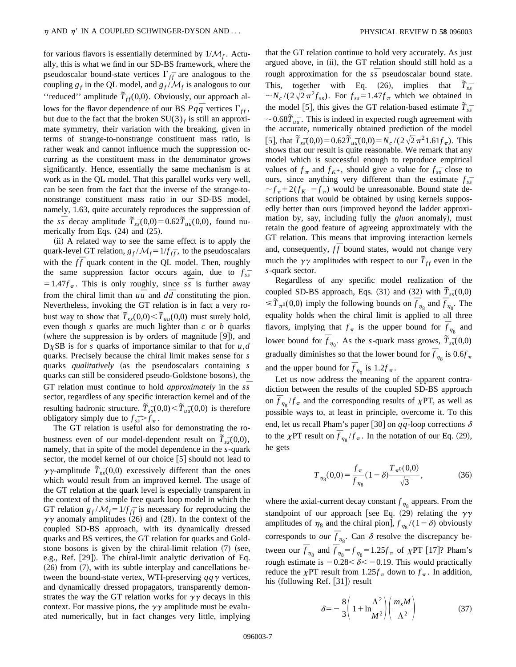for various flavors is essentially determined by  $1/M_f$ . Actually, this is what we find in our SD-BS framework, where the pseudoscalar bound-state vertices  $\Gamma_{f\bar{f}}$  are analogous to the coupling  $g_f$  in the QL model, and  $g_f/M_f$  is analogous to our "reduced" amplitude  $\tilde{T}_{f\bar{f}}(0,0)$ . Obviously, our approach allows for the flavor dependence of our BS  $Pq\bar{q}$  vertices  $\Gamma_{f\bar{f}}$ , but due to the fact that the broken  $SU(3)_f$  is still an approximate symmetry, their variation with the breaking, given in terms of strange-to-nonstrange constituent mass ratio, is rather weak and cannot influence much the suppression occurring as the constituent mass in the denominator grows significantly. Hence, essentially the same mechanism is at work as in the QL model. That this parallel works very well, can be seen from the fact that the inverse of the strange-tononstrange constituent mass ratio in our SD-BS model, namely, 1.63, quite accurately reproduces the suppression of the  $s\overline{s}$  decay amplitude  $\overline{T}_{s\overline{s}}(0,0) = 0.62\overline{T}_{u\overline{u}}(0,0)$ , found numerically from Eqs.  $(24)$  and  $(25)$ .

(ii) A related way to see the same effect is to apply the quark-level GT relation,  $g_f/M_f = 1/f_{\text{ff}}$ , to the pseudoscalars with the  $f\bar{f}$  quark content in the QL model. Then, roughly the same suppression factor occurs again, due to  $f_{s\bar{s}}$  $=1.47f_\pi$ . This is only roughly, since  $s\overline{s}$  is further away from the chiral limit than  $u\overline{u}$  and  $d\overline{d}$  constituting the pion. Nevertheless, invoking the GT relation is in fact a very robust way to show that  $\tilde{T}_{s\bar{s}}(0,0) < \tilde{T}_{u\bar{u}}(0,0)$  must surely hold, even though *s* quarks are much lighter than *c* or *b* quarks (where the suppression is by orders of magnitude  $[9]$ ), and  $D\chi$ SB is for *s* quarks of importance similar to that for  $u, d$ quarks. Precisely because the chiral limit makes sense for *s* quarks *qualitatively* (as the pseudoscalars containing *s* quarks can still be considered pseudo-Goldstone bosons), the GT relation must continue to hold *approximately* in the *ss¯* sector, regardless of any specific interaction kernel and of the resulting hadronic structure.  $\tilde{T}_{s\bar{s}}(0,0) < \tilde{T}_{u\bar{u}}(0,0)$  is therefore obligatory simply due to  $f_{ss} > f_{\pi}$ .

The GT relation is useful also for demonstrating the robustness even of our model-dependent result on  $\tilde{T}_{s\bar{s}}(0,0)$ , namely, that in spite of the model dependence in the *s*-quark sector, the model kernel of our choice  $[5]$  should not lead to  $\gamma \gamma$ -amplitude  $\tilde{T}_{s\bar{s}}(0,0)$  excessively different than the ones which would result from an improved kernel. The usage of the GT relation at the quark level is especially transparent in the context of the simple free quark loop model in which the GT relation  $g_f/\mathcal{M}_f = 1/f_{f\bar{f}}$  is necessary for reproducing the  $\gamma\gamma$  anomaly amplitudes (26) and (28). In the context of the coupled SD-BS approach, with its dynamically dressed quarks and BS vertices, the GT relation for quarks and Goldstone bosons is given by the chiral-limit relation  $(7)$  (see, e.g., Ref. [29]). The chiral-limit analytic derivation of Eq.  $(26)$  from  $(7)$ , with its subtle interplay and cancellations between the bound-state vertex, WTI-preserving  $qq\gamma$  vertices, and dynamically dressed propagators, transparently demonstrates the way the GT relation works for  $\gamma\gamma$  decays in this context. For massive pions, the  $\gamma\gamma$  amplitude must be evaluated numerically, but in fact changes very little, implying that the GT relation continue to hold very accurately. As just argued above, in (ii), the GT relation should still hold as a rough approximation for the  $s\overline{s}$  pseudoscalar bound state. This, together with Eq.  $(26)$ , implies that  $\tilde{T}_{s\overline{s}}$  $\sim N_c / (2\sqrt{2}\pi^2 f_{s\bar{s}})$ . For  $f_{s\bar{s}} = 1.47 f_{\pi}$  which we obtained in the model [5], this gives the GT relation-based estimate  $\tilde{T}_{s\overline{s}}$  $\sim 0.68 \tilde{T}_{u\bar{u}}$ . This is indeed in expected rough agreement with the accurate, numerically obtained prediction of the model  $[5]$ , that  $\tilde{T}_{s\bar{s}}(0,0) = 0.62\tilde{T}_{u\bar{u}}(0,0) = N_c/(2\sqrt{2}\pi^2 1.61f_\pi)$ . This shows that our result is quite reasonable. We remark that any model which is successful enough to reproduce empirical values of  $f_{\pi}$  and  $f_{K^+}$ , should give a value for  $f_{ss}^-$  close to ours, since anything very different than the estimate  $f_{ss}$  $\sim f_{\pi} + 2(f_{K^+} - f_{\pi})$  would be unreasonable. Bound state descriptions that would be obtained by using kernels supposedly better than ours (improved beyond the ladder approximation by, say, including fully the *gluon* anomaly), must retain the good feature of agreeing approximately with the GT relation. This means that improving interaction kernels and, consequently,  $f\bar{f}$  bound states, would not change very much the  $\gamma\gamma$  amplitudes with respect to our  $\tilde{T}_{f\bar{f}}$  even in the *s*-quark sector.

Regardless of any specific model realization of the coupled SD-BS approach, Eqs. (31) and (32) with  $\tilde{T}_{s\bar{s}}(0,0)$  $\leq \tilde{T}_{\pi^0}(0,0)$  imply the following bounds on  $\bar{f}_{\eta_8}$  and  $\bar{f}_{\eta_0}$ . The equality holds when the chiral limit is applied to all three flavors, implying that  $f_{\pi}$  is the upper bound for  $\bar{f}_{\eta_8}$  and lower bound for  $\overline{f}_{\eta_0}$ . As the *s*-quark mass grows,  $\overline{\tilde{T}}_{s\overline{s}}(0,0)$ gradually diminishes so that the lower bound for  $\bar{f}_{\eta_8}$  is 0.6 $f_\pi$ and the upper bound for  $\overline{f}_{\eta_0}$  is  $1.2f_{\pi}$ .

Let us now address the meaning of the apparent contradiction between the results of the coupled SD-BS approach on  $\overline{f}_{\eta_8}/f_\pi$  and the corresponding results of  $\chi$ PT, as well as possible ways to, at least in principle, overcome it. To this end, let us recall Pham's paper [30] on  $qq$ -loop corrections  $\delta$ to the  $\chi$ PT result on  $\bar{f}_{\eta_8}/f_\pi$ . In the notation of our Eq. (29), he gets

$$
T_{\eta_8}(0,0) = \frac{f_\pi}{f_{\eta_8}}(1-\delta)\frac{T_{\pi^0}(0,0)}{\sqrt{3}},\tag{36}
$$

where the axial-current decay constant  $f_{\eta_8}$  appears. From the standpoint of our approach [see Eq. (29) relating the  $\gamma\gamma$ amplitudes of  $\eta_8$  and the chiral pion],  $f_{\eta_8}$  /(1 –  $\delta$ ) obviously corresponds to *our*  $\overline{f}_{\eta_8}$ . Can  $\delta$  resolve the discrepancy between our  $\overline{f}_{\eta_8}$  and  $\overline{f}_{\eta_8} = f_{\eta_8} = 1.25 f_{\pi}$  of  $\chi$ PT [17]? Pham's rough estimate is  $-0.28 < \delta < -0.19$ . This would practically reduce the  $\chi$ PT result from 1.25 $f_{\pi}$  down to  $f_{\pi}$ . In addition, his  $\text{(following Ref. [31])}$  result

$$
\delta = -\frac{8}{3} \left( 1 + \ln \frac{\Lambda^2}{M^2} \right) \left( \frac{m_s M}{\Lambda^2} \right) \tag{37}
$$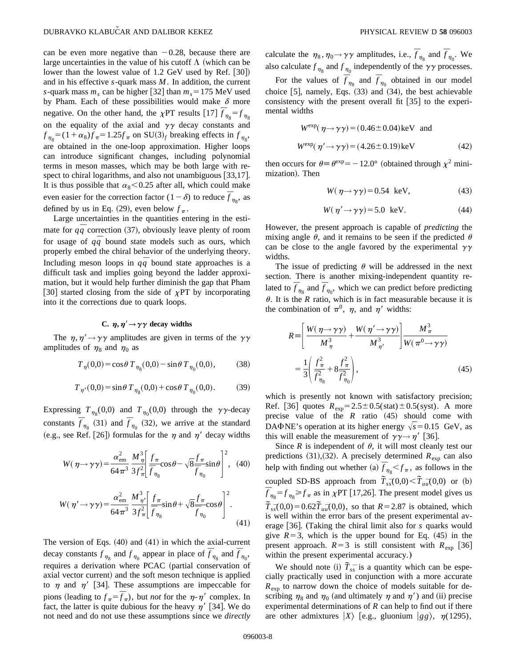can be even more negative than  $-0.28$ , because there are large uncertainties in the value of his cutoff  $\Lambda$  (which can be lower than the lowest value of  $1.2$  GeV used by Ref.  $|30|$ and in his effective *s*-quark mass *M*. In addition, the current *s*-quark mass  $m_s$  can be higher [32] than  $m_s = 175$  MeV used by Pham. Each of these possibilities would make  $\delta$  more negative. On the other hand, the  $\chi$ PT results [17]  $\bar{f}_{\eta_8} = f_{\eta_8}$ on the equality of the axial and  $\gamma\gamma$  decay constants and  $f_{\eta_8} = (1 + \alpha_8) f_{\pi} = 1.25 f_{\pi}$  on SU(3)<sub>f</sub> breaking effects in  $f_{\eta_8}$ , are obtained in the one-loop approximation. Higher loops can introduce significant changes, including polynomial terms in meson masses, which may be both large with respect to chiral logarithms, and also not unambiguous  $[33,17]$ . It is thus possible that  $\alpha_8$ <0.25 after all, which could make even easier for the correction factor  $(1-\delta)$  to reduce  $\bar{f}_{\eta_8}$ , as defined by us in Eq. (29), even below  $f_{\pi}$ .

Large uncertainties in the quantities entering in the estimate for  $q\bar{q}$  correction (37), obviously leave plenty of room for usage of  $q\bar{q}$  bound state models such as ours, which properly embed the chiral behavior of the underlying theory. Including meson loops in  $q\bar{q}$  bound state approaches is a difficult task and implies going beyond the ladder approximation, but it would help further diminish the gap that Pham [30] started closing from the side of  $\chi PT$  by incorporating into it the corrections due to quark loops.

## **C.**  $\eta, \eta' \rightarrow \gamma \gamma$  decay widths

The  $\eta$ ,  $\eta' \rightarrow \gamma \gamma$  amplitudes are given in terms of the  $\gamma \gamma$ amplitudes of  $\eta_8$  and  $\eta_0$  as

$$
T_{\eta}(0,0) = \cos\theta \, T_{\eta_8}(0,0) - \sin\theta \, T_{\eta_0}(0,0),\tag{38}
$$

$$
T_{\eta'}(0,0) = \sin \theta \, T_{\eta_8}(0,0) + \cos \theta \, T_{\eta_0}(0,0). \tag{39}
$$

Expressing  $T_{\eta_8}(0,0)$  and  $T_{\eta_0}(0,0)$  through the  $\gamma\gamma$ -decay constants  $\overline{f}_{\eta_8}$  (31) and  $\overline{f}_{\eta_0}$  (32), we arrive at the standard (e.g., see Ref. [26]) formulas for the  $\eta$  and  $\eta'$  decay widths

$$
W(\eta \to \gamma \gamma) = \frac{\alpha_{\text{em}}^2}{64\pi^3} \frac{M_{\eta}^3}{3f_{\pi}^2} \left[ \frac{f_{\pi}}{f_{\eta_8}} \cos \theta - \sqrt{8} \frac{f_{\pi}}{f_{\eta_0}} \sin \theta \right]^2, \quad (40)
$$

$$
W(\eta' \to \gamma \gamma) = \frac{\alpha_{\text{em}}^2}{64\pi^3} \frac{M_{\eta'}^3}{3f_{\pi}^2} \left[ \frac{f_{\pi}}{f_{\eta_8}} \sin \theta + \sqrt{8} \frac{f_{\pi}}{f_{\eta_0}} \cos \theta \right]^2.
$$
\n(41)

The version of Eqs.  $(40)$  and  $(41)$  in which the axial-current decay constants  $f_{\eta_8}$  and  $f_{\eta_0}$  appear in place of  $\overline{f}_{\eta_8}$  and  $\overline{f}_{\eta_0}$ , requires a derivation where PCAC (partial conservation of axial vector current) and the soft meson technique is applied to  $\eta$  and  $\eta'$  [34]. These assumptions are impeccable for pions (leading to  $f_{\pi} = \overline{f}_{\pi}$ ), but *not* for the  $\eta$ - $\eta'$  complex. In fact, the latter is quite dubious for the heavy  $\eta'$  [34]. We do not need and do not use these assumptions since we *directly*

calculate the  $\eta_8$ ,  $\eta_0 \rightarrow \gamma \gamma$  amplitudes, i.e.,  $\bar{f}_{\eta_8}$  and  $\bar{f}_{\eta_0}$ . We also calculate  $f_{\eta_8}$  and  $f_{\eta_0}$  independently of the  $\gamma\gamma$  processes.

For the values of  $\overline{f}_{\eta_8}$  and  $\overline{f}_{\eta_0}$  obtained in our model choice  $[5]$ , namely, Eqs.  $(33)$  and  $(34)$ , the best achievable consistency with the present overall fit  $[35]$  to the experimental widths

$$
W^{\exp}(\eta \to \gamma \gamma) = (0.46 \pm 0.04) \text{keV} \text{ and}
$$
  

$$
W^{\exp}(\eta' \to \gamma \gamma) = (4.26 \pm 0.19) \text{keV}
$$
 (42)

then occurs for  $\theta \equiv \theta^{\exp} = -12.0^{\circ}$  (obtained through  $\chi^2$  minimization). Then

$$
W(\eta \to \gamma \gamma) = 0.54 \text{ keV}, \tag{43}
$$

$$
W(\eta' \to \gamma \gamma) = 5.0 \text{ keV}.
$$
 (44)

However, the present approach is capable of *predicting* the mixing angle  $\theta$ , and it remains to be seen if the predicted  $\theta$ can be close to the angle favored by the experimental  $\gamma\gamma$ widths.

The issue of predicting  $\theta$  will be addressed in the next section. There is another mixing-independent quantity related to  $\bar{f}_{\eta_8}$  and  $\bar{f}_{\eta_0}$ , which we can predict before predicting  $\theta$ . It is the *R* ratio, which is in fact measurable because it is the combination of  $\pi^0$ ,  $\eta$ , and  $\eta'$  widths:

$$
R = \left[\frac{W(\eta \to \gamma \gamma)}{M_{\eta}^3} + \frac{W(\eta' \to \gamma \gamma)}{M_{\eta'}^3}\right] \frac{M_{\pi}^3}{W(\pi^0 \to \gamma \gamma)}
$$
  
=  $\frac{1}{3} \left(\frac{f_{\pi}^2}{f_{\eta_8}^2} + 8 \frac{f_{\pi}^2}{f_{\eta_0}^2}\right),$  (45)

which is presently not known with satisfactory precision; Ref. [36] quotes  $R_{exp} = 2.5 \pm 0.5(stat) \pm 0.5(syst)$ . A more precise value of the  $R$  ratio  $(45)$  should come with DA<sup> $\Phi$ </sup>NE's operation at its higher energy  $\sqrt{s}$  = 0.15 GeV, as this will enable the measurement of  $\gamma \gamma \rightarrow \eta'$  [36].

Since *R* is independent of  $\theta$ , it will most cleanly test our predictions  $(31),(32)$ . A precisely determined  $R_{\text{exp}}$  can also help with finding out whether (a)  $\bar{f}_{\eta_8} < f_{\pi}$ , as follows in the coupled SD-BS approach from  $\tilde{T}_{s\bar{s}}(0,0) < \tilde{T}_{u\bar{u}}(0,0)$  or (b)  $\overline{f}_{\eta_8} = f_{\eta_8} \ge f_{\pi}$  as in  $\chi$ PT [17,26]. The present model gives us  $\hat{T}_{s\bar{s}}(0,0) = 0.62 \tilde{T}_{u\bar{u}}(0,0)$ , so that  $R = 2.87$  is obtained, which is well within the error bars of the present experimental average [36]. (Taking the chiral limit also for *s* quarks would give  $R=3$ , which is the upper bound for Eq.  $(45)$  in the present approach.  $R=3$  is still consistent with  $R_{\text{exp}}$  [36] within the present experimental accuracy.)

We should note (i)  $\tilde{T}_{s\bar{s}}$  is a quantity which can be especially practically used in conjunction with a more accurate *R*exp to narrow down the choice of models suitable for describing  $\eta_8$  and  $\eta_0$  (and ultimately  $\eta$  and  $\eta'$ ) and (ii) precise experimental determinations of *R* can help to find out if there are other admixtures  $|X\rangle$  [e.g., gluonium  $|gg\rangle$ ,  $\eta(1295)$ ,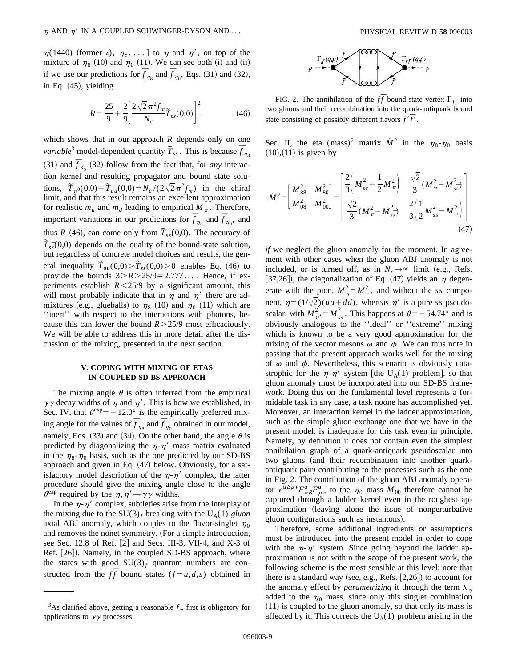$\eta(1440)$  (former *i*),  $\eta_c$ , ... ] to  $\eta$  and  $\eta'$ , on top of the mixture of  $\eta_8$  (10) and  $\eta_0$  (11). We can see both (i) and (ii) if we use our predictions for  $\overline{f}_{\eta_8}$  and  $\overline{f}_{\eta_0}$ , Eqs. (31) and (32), in Eq.  $(45)$ , yielding

$$
R = \frac{25}{9} + \frac{2}{9} \left[ \frac{2\sqrt{2}\pi^2 f_{\pi}}{N_c} \tilde{T}_{s\bar{s}}(0,0) \right]^2, \tag{46}
$$

which shows that in our approach *R* depends only on one *variable*<sup>3</sup> model-dependent quantity  $\tilde{T}_{s\bar{s}}$ . This is because  $\bar{f}_{\eta_8}$ (31) and  $\bar{f}_{\eta_0}$  (32) follow from the fact that, for *any* interaction kernel and resulting propagator and bound state solutions,  $\widetilde{T}_{\pi^0}(0,0) = \widetilde{T}_{u\overline{u}}(0,0) = N_c/(2\sqrt{2}\pi^2 f_\pi)$  in the chiral limit, and that this result remains an excellent approximation for realistic  $m_u$  and  $m_d$  leading to empirical  $M_\pi$ . Therefore, important variations in our predictions for  $\overline{f}_{\eta_8}$  and  $\overline{f}_{\eta_0}$ , and thus *R* (46), can come only from  $\tilde{T}_{s\bar{s}}(0,0)$ . The accuracy of  $\tilde{T}_{s\bar{s}}(0,0)$  depends on the quality of the bound-state solution, but regardless of concrete model choices and results, the general inequality  $\tilde{T}_{u\bar{u}}(0,0) > \tilde{T}_{s\bar{s}}(0,0) > 0$  enables Eq. (46) to provide the bounds  $3 > R > 25/9 = 2.777...$  . Hence, if experiments establish  $R \le 25/9$  by a significant amount, this will most probably indicate that in  $\eta$  and  $\eta'$  there are admixtures (e.g., glueballs) to  $\eta_8$  (10) and  $\eta_0$  (11) which are ''inert'' with respect to the interactions with photons, because this can lower the bound  $R > 25/9$  most efficaciously. We will be able to address this in more detail after the discussion of the mixing, presented in the next section.

### **V. COPING WITH MIXING OF ETAS IN COUPLED SD-BS APPROACH**

The mixing angle  $\theta$  is often inferred from the empirical  $\gamma\gamma$  decay widths of  $\eta$  and  $\eta'$ . This is how we established, in Sec. IV, that  $\theta^{\text{exp}} = -12.0^{\circ}$  is the empirically preferred mixing angle for the values of  $\overline{f}_{\eta_8}$  and  $\overline{f}_{\eta_0}$  obtained in our model, namely, Eqs. (33) and (34). On the other hand, the angle  $\theta$  is predicted by diagonalizing the  $\eta$ - $\eta'$  mass matrix evaluated in the  $\eta_8-\eta_0$  basis, such as the one predicted by our SD-BS approach and given in Eq.  $(47)$  below. Obviously, for a satisfactory model description of the  $\eta$ - $\eta'$  complex, the latter procedure should give the mixing angle close to the angle  $\theta^{\text{exp}}$  required by the  $\eta, \eta' \rightarrow \gamma \gamma$  widths.

In the  $\eta$ - $\eta'$  complex, subtleties arise from the interplay of the mixing due to the  $SU(3)_f$  breaking with the  $U_A(1)$  *gluon* axial ABJ anomaly, which couples to the flavor-singlet  $\eta_0$ and removes the nonet symmetry. (For a simple introduction, see Sec. 12.8 of Ref.  $[2]$  and Secs. III-3, VII-4, and X-3 of Ref.  $[26]$ ). Namely, in the coupled SD-BS approach, where the states with good  $SU(3)_f$  quantum numbers are constructed from the  $f\bar{f}$  bound states ( $f = u, d, s$ ) obtained in



FIG. 2. The annihilation of the  $f\bar{f}$  bound-state vertex  $\Gamma_{f\bar{f}}$  into two gluons and their recombination into the quark-antiquark bound state consisting of possibly different flavors  $f'\overline{f}'$ .

Sec. II, the eta  $(mass)^2$  matrix  $\hat{M}^2$  in the  $\eta_8-\eta_0$  basis  $(10)$ , $(11)$  is given by

$$
\hat{M}^{2} = \begin{bmatrix} M_{88}^{2} & M_{80}^{2} \\ M_{08}^{2} & M_{00}^{2} \end{bmatrix} = \begin{bmatrix} \frac{2}{3} \left( M_{ss}^{2} + \frac{1}{2} M_{\pi}^{2} \right) & \frac{\sqrt{2}}{3} \left( M_{\pi}^{2} - M_{ss}^{2} \right) \\ \frac{\sqrt{2}}{3} \left( M_{\pi}^{2} - M_{ss}^{2} \right) & \frac{2}{3} \left( \frac{1}{2} M_{ss}^{2} + M_{\pi}^{2} \right) \end{bmatrix}
$$
\n(47)

*if* we neglect the gluon anomaly for the moment. In agreement with other cases when the gluon ABJ anomaly is not included, or is turned off, as in  $N_c \rightarrow \infty$  limit (e.g., Refs. [37,26]), the diagonalization of Eq. (47) yields an  $\eta$  degenerate with the pion,  $M_{\eta}^2 = M_{\pi}^2$ , and without the  $s\overline{s}$  component,  $\eta = (1/\sqrt{2})(u\overline{u} + d\overline{d})$ , whereas  $\eta'$  is a pure *ss* pseudoscalar, with  $M_{\gamma}^2 = M_{ss}^2$ . This happens at  $\theta = -54.74^\circ$  and is obviously analogous to the ''ideal'' or ''extreme'' mixing which is known to be a very good approximation for the mixing of the vector mesons  $\omega$  and  $\phi$ . We can thus note in passing that the present approach works well for the mixing of  $\omega$  and  $\phi$ . Nevertheless, this scenario is obviously catastrophic for the  $\eta$ - $\eta'$  system [the U<sub>A</sub>(1) problem], so that gluon anomaly must be incorporated into our SD-BS framework. Doing this on the fundamental level represents a formidable task in any case, a task noone has accomplished yet. Moreover, an interaction kernel in the ladder approximation, such as the simple gluon-exchange one that we have in the present model, is inadequate for this task even in principle. Namely, by definition it does not contain even the simplest annihilation graph of a quark-antiquark pseudoscalar into two gluons (and their recombination into another quarkantiquark pair) contributing to the processes such as the one in Fig. 2. The contribution of the gluon ABJ anomaly operator  $\epsilon^{\alpha\beta\mu\nu}F^a_{\alpha\beta}F^a_{\mu\nu}$  to the  $\eta_0$  mass  $M_{00}$  therefore cannot be captured through a ladder kernel even in the roughest approximation (leaving alone the issue of nonperturbative gluon configurations such as instantons).

Therefore, some additional ingredients or assumptions must be introduced into the present model in order to cope with the  $\eta$ - $\eta'$  system. Since going beyond the ladder approximation is not within the scope of the present work, the following scheme is the most sensible at this level: note that there is a standard way (see, e.g., Refs.  $[2,26]$ ) to account for the anomaly effect by *parametrizing* it through the term  $\lambda_n$ added to the  $\eta_0$  mass, since only this singlet combination  $(11)$  is coupled to the gluon anomaly, so that only its mass is affected by it. This corrects the  $U_A(1)$  problem arising in the

<sup>&</sup>lt;sup>3</sup>As clarified above, getting a reasonable  $f_{\pi}$  first is obligatory for applications to  $\gamma\gamma$  processes.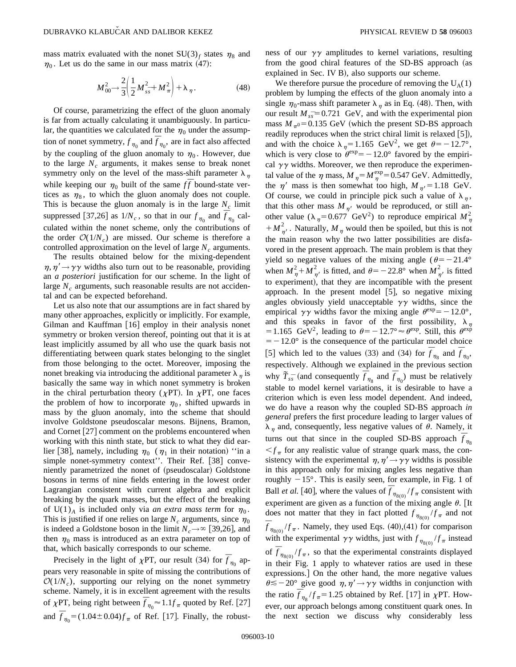mass matrix evaluated with the nonet  $SU(3)_f$  states  $\eta_8$  and  $\eta_0$ . Let us do the same in our mass matrix (47):

$$
M_{00}^2 \to \frac{2}{3} \left( \frac{1}{2} M_{s\bar{s}}^2 + M_{\pi}^2 \right) + \lambda_{\eta}.
$$
 (48)

Of course, parametrizing the effect of the gluon anomaly is far from actually calculating it unambiguously. In particular, the quantities we calculated for the  $\eta_0$  under the assumption of nonet symmetry,  $f_{\eta_0}$  and  $\overline{f}_{\eta_0}$ , are in fact also affected by the coupling of the gluon anomaly to  $\eta_0$ . However, due to the large  $N_c$  arguments, it makes sense to break nonet symmetry only on the level of the mass-shift parameter  $\lambda_n$ while keeping our  $\eta_0$  built of the same  $f\bar{f}$  bound-state vertices as  $\eta_8$ , to which the gluon anomaly does not couple. This is because the gluon anomaly is in the large  $N_c$  limit suppressed [37,26] as  $1/N_c$ , so that in our  $f_{\eta_0}$  and  $\bar{f}_{\eta_0}$  calculated within the nonet scheme, only the contributions of the order  $O(1/N_c)$  are missed. Our scheme is therefore a controlled approximation on the level of large  $N_c$  arguments.

The results obtained below for the mixing-dependent  $\eta$ ,  $\eta' \rightarrow \gamma \gamma$  widths also turn out to be reasonable, providing an *a posteriori* justification for our scheme. In the light of large  $N_c$  arguments, such reasonable results are not accidental and can be expected beforehand.

Let us also note that our assumptions are in fact shared by many other approaches, explicitly or implicitly. For example, Gilman and Kauffman  $[16]$  employ in their analysis nonet symmetry or broken version thereof, pointing out that it is at least implicitly assumed by all who use the quark basis not differentiating between quark states belonging to the singlet from those belonging to the octet. Moreover, imposing the nonet breaking via introducing the additional parameter  $\lambda_{\eta}$  is basically the same way in which nonet symmetry is broken in the chiral perturbation theory ( $\chi PT$ ). In  $\chi PT$ , one faces the problem of how to incorporate  $\eta_0$ , shifted upwards in mass by the gluon anomaly, into the scheme that should involve Goldstone pseudoscalar mesons. Bijnens, Bramon, and Cornet  $[27]$  comment on the problems encountered when working with this ninth state, but stick to what they did earlier [38], namely, including  $\eta_0$  ( $\eta_1$  in their notation) "in a simple nonet-symmetry context". Their Ref. [38] conveniently parametrized the nonet of (pseudoscalar) Goldstone bosons in terms of nine fields entering in the lowest order Lagrangian consistent with current algebra and explicit breaking by the quark masses, but the effect of the breaking of U(1)<sub>A</sub> is included only via *an extra mass term* for  $\eta_0$ . This is justified if one relies on large  $N_c$  arguments, since  $\eta_0$ is indeed a Goldstone boson in the limit  $N_c \rightarrow \infty$  [39,26], and then  $\eta_0$  mass is introduced as an extra parameter on top of that, which basically corresponds to our scheme.

Precisely in the light of  $\chi$ PT, our result (34) for  $\bar{f}_{\eta_0}$  appears very reasonable in spite of missing the contributions of  $O(1/N_c)$ , supporting our relying on the nonet symmetry scheme. Namely, it is in excellent agreement with the results of  $\chi$ PT, being right between  $\overline{f}_{\eta_0} \approx 1.1 f_\pi$  quoted by Ref. [27] and  $\bar{f}_{\eta_0} = (1.04 \pm 0.04) f_{\pi}$  of Ref. [17]. Finally, the robustness of our  $\gamma\gamma$  amplitudes to kernel variations, resulting from the good chiral features of the SD-BS approach (as explained in Sec. IV B), also supports our scheme.

We therefore pursue the procedure of removing the  $U_A(1)$ problem by lumping the effects of the gluon anomaly into a single  $\eta_0$ -mass shift parameter  $\lambda_n$  as in Eq. (48). Then, with our result  $M_{ss}$ <sup>=</sup>0.721 GeV, and with the experimental pion mass  $M_{\pi0}$ =0.135 GeV (which the present SD-BS approach readily reproduces when the strict chiral limit is relaxed  $[5]$ ), and with the choice  $\lambda_n=1.165$  GeV<sup>2</sup>, we get  $\theta=-12.7^\circ$ , which is very close to  $\theta^{\text{exp}} = -12.0^{\circ}$  favored by the empirical  $\gamma\gamma$  widths. Moreover, we then reproduce the experimental value of the  $\eta$  mass,  $M_{\eta} = M_{\eta}^{\text{exp}} = 0.547 \text{ GeV}$ . Admittedly, the  $\eta'$  mass is then somewhat too high,  $M_{\eta'} = 1.18$  GeV. Of course, we could in principle pick such a value of  $\lambda_n$ , that this other mass  $M_{\eta}$  would be reproduced, or still another value ( $\lambda_{\eta}$ =0.677 GeV<sup>2</sup>) to reproduce empirical  $M_{\eta}^2$  $+ M_{\eta'}^2$ . Naturally,  $M_{\eta}$  would then be spoiled, but this is not the main reason why the two latter possibilities are disfavored in the present approach. The main problem is that they yield so negative values of the mixing angle ( $\theta$ = -21.4° when  $M_{\eta}^2 + M_{\eta'}^2$  is fitted, and  $\theta = -22.8^\circ$  when  $M_{\eta'}^2$  is fitted to experiment), that they are incompatible with the present approach. In the present model  $[5]$ , so negative mixing angles obviously yield unacceptable  $\gamma\gamma$  widths, since the empirical  $\gamma \gamma$  widths favor the mixing angle  $\theta^{\text{exp}} = -12.0^{\circ}$ , and this speaks in favor of the first possibility,  $\lambda_{\eta}$ = 1.165 GeV<sup>2</sup>, leading to  $\theta$ = -12.7°  $\approx \theta^{\exp}$ . Still, this  $\theta^{\exp}$  $=$  -12.0° is the consequence of the particular model choice [5] which led to the values (33) and (34) for  $\overline{f}_{\eta_8}$  and  $\overline{f}_{\eta_0}$ , respectively. Although we explained in the previous section why  $\tilde{T}_{s\bar{s}}$  (and consequently  $\overline{f}_{\eta_8}$  and  $\overline{f}_{\eta_0}$ ) must be relatively stable to model kernel variations, it is desirable to have a criterion which is even less model dependent. And indeed, we do have a reason why the coupled SD-BS approach *in general* prefers the first procedure leading to larger values of  $\lambda_n$  and, consequently, less negative values of  $\theta$ . Namely, it turns out that since in the coupled SD-BS approach  $\overline{f}_{\eta_8}$  $\leq f_\pi$  for any realistic value of strange quark mass, the consistency with the experimental  $\eta, \eta' \rightarrow \gamma \gamma$  widths is possible in this approach only for mixing angles less negative than roughly  $-15^\circ$ . This is easily seen, for example, in Fig. 1 of Ball *et al.* [40], where the values of  $\overline{f}_{\eta_{8(0)}}/f_{\pi}$  consistent with experiment are given as a function of the mixing angle  $\theta$ . [It does not matter that they in fact plotted  $f_{\eta_{8(0)}}/f_{\pi}$  and not  $\bar{f}_{\eta_{8(0)}}/f_{\pi}$ . Namely, they used Eqs. (40),(41) for comparison with the experimental  $\gamma\gamma$  widths, just with  $f_{\eta_{8(0)}}/f_{\pi}$  instead of  $\overline{f}_{\eta_{8(0)}}/f_{\pi}$ , so that the experimental constraints displayed in their Fig. 1 apply to whatever ratios are used in these expressions.] On the other hand, the more negative values  $\theta \leq -20^{\circ}$  give good  $\eta, \eta' \rightarrow \gamma \gamma$  widths in conjunction with the ratio  $\overline{f}_{\eta_8}/f_{\pi} = 1.25$  obtained by Ref. [17] in  $\chi$ PT. However, our approach belongs among constituent quark ones. In the next section we discuss why considerably less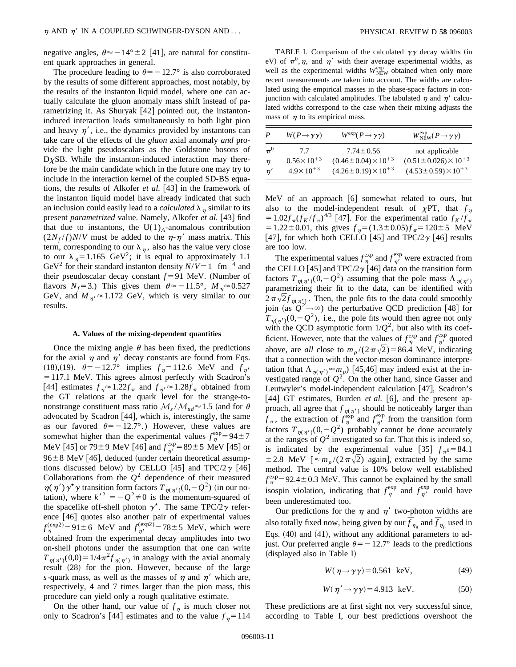negative angles,  $\theta \approx -14^{\circ} \pm 2$  [41], are natural for constituent quark approaches in general.

The procedure leading to  $\theta$ = -12.7° is also corroborated by the results of some different approaches, most notably, by the results of the instanton liquid model, where one can actually calculate the gluon anomaly mass shift instead of parametrizing it. As Shuryak  $[42]$  pointed out, the instantoninduced interaction leads simultaneously to both light pion and heavy  $\eta'$ , i.e., the dynamics provided by instantons can take care of the effects of the *gluon* axial anomaly *and* provide the light pseudoscalars as the Goldstone bosons of  $D<sub>X</sub>SB$ . While the instanton-induced interaction may therefore be the main candidate which in the future one may try to include in the interaction kernel of the coupled SD-BS equations, the results of Alkofer *et al.* [43] in the framework of the instanton liquid model have already indicated that such an inclusion could easily lead to a *calculated*  $\lambda_n$  similar to its present *parametrized* value. Namely, Alkofer *et al.* [43] find that due to instantons, the  $U(1)<sub>A</sub>$ -anomalous contribution  $(2N_f/f)N/V$  must be added to the  $\eta$ - $\eta'$  mass matrix. This term, corresponding to our  $\lambda_n$ , also has the value very close to our  $\lambda_n=1.165$  GeV<sup>2</sup>; it is equal to approximately 1.1 GeV<sup>2</sup> for their standard instanton density  $N/V = 1$  fm<sup>-4</sup> and their pseudoscalar decay constant  $f = 91$  MeV. (Number of flavors  $N_f$ =3.) This gives them  $\theta \approx -11.5^\circ$ ,  $M_n \approx 0.527$ GeV, and  $M_{\eta} \approx 1.172$  GeV, which is very similar to our results.

### **A. Values of the mixing-dependent quantities**

Once the mixing angle  $\theta$  has been fixed, the predictions for the axial  $\eta$  and  $\eta'$  decay constants are found from Eqs. (18),(19).  $\theta = -12.7^\circ$  implies  $f_\eta = 112.6$  MeV and  $f_{\eta'}$  = 117.1 MeV. This agrees almost perfectly with Scadron's [44] estimates  $f_{\eta} \approx 1.22 f_{\pi}$  and  $f_{\eta'} \approx 1.28 f_{\pi}$  obtained from the GT relations at the quark level for the strange-tononstrange constituent mass ratio  $\mathcal{M}_s / \mathcal{M}_{ud} \approx 1.5$  (and for  $\theta$ advocated by Scadron [44], which is, interestingly, the same as our favored  $\theta = -12.7^{\circ}$ .) However, these values are somewhat higher than the experimental values  $f_{\eta}^{\exp} = 94 \pm 7$ MeV [45] or 79±9 MeV [46] and  $f_{\eta'}^{\text{exp}} = 89 \pm 5$  MeV [45] or  $96\pm8$  MeV [46], deduced (under certain theoretical assumptions discussed below) by CELLO [45] and TPC/2 $\gamma$  [46] Collaborations from the  $Q^2$  dependence of their measured  $\eta(\eta')\gamma^{\star}\gamma$  transition form factors  $T_{\eta(\eta')}(0,-Q^2)$  (in our notation), where  $k'^2 = -Q^2 \neq 0$  is the momentum-squared of the spacelike off-shell photon  $\gamma^*$ . The same TPC/2 $\gamma$  reference [46] quotes also another pair of experimental values  $f_{\eta}^{(exp2)} = 91 \pm 6$  MeV and  $f_{\eta'}^{(exp2)} = 78 \pm 5$  MeV, which were obtained from the experimental decay amplitudes into two on-shell photons under the assumption that one can write  $T_{\eta(\eta')}(0,0)=1/4\pi^2 f_{\eta(\eta')}$  in analogy with the axial anomaly result (28) for the pion. However, because of the large *s*-quark mass, as well as the masses of  $\eta$  and  $\eta'$  which are, respectively, 4 and 7 times larger than the pion mass, this procedure can yield only a rough qualitative estimate.

On the other hand, our value of  $f_n$  is much closer not only to Scadron's [44] estimates and to the value  $f_n = 114$ 

TABLE I. Comparison of the calculated  $\gamma\gamma$  decay widths (in eV) of  $\pi^0$ ,  $\eta$ , and  $\eta'$  with their average experimental widths, as well as the experimental widths  $W_{\text{NEW}}^{\text{exp}}$  obtained when only more recent measurements are taken into account. The widths are calculated using the empirical masses in the phase-space factors in conjunction with calculated amplitudes. The tabulated  $\eta$  and  $\eta'$  calculated widths correspond to the case when their mixing adjusts the mass of  $\eta$  to its empirical mass.

| P       | $W(P\rightarrow \gamma\gamma)$ | $W^{\text{exp}}(P \rightarrow \gamma \gamma)$ | $W_{\text{NEW}}^{\text{exp}}(P \rightarrow \gamma \gamma)$ |
|---------|--------------------------------|-----------------------------------------------|------------------------------------------------------------|
| $\pi^0$ | 7.7                            | $7.74 \pm 0.56$                               | not applicable                                             |
| $\eta$  | $0.56 \times 10^{+3}$          | $(0.46 \pm 0.04) \times 10^{+3}$              | $(0.51 \pm 0.026) \times 10^{+3}$                          |
| n'      | $4.9 \times 10^{+3}$           | $(4.26 \pm 0.19) \times 10^{+3}$              | $(4.53 \pm 0.59) \times 10^{+3}$                           |

MeV of an approach  $[6]$  somewhat related to ours, but also to the model-independent result of  $\chi PT$ , that  $f_n$  $=1.02 f_{\pi} (f_K/f_{\pi})^{4/3}$  [47]. For the experimental ratio  $f_K/f_{\pi}$  $=1.22\pm0.01$ , this gives  $f<sub>n</sub>=(1.3\pm0.05)f<sub>n</sub>=120\pm5$  MeV [47], for which both CELLO [45] and TPC/2 $\gamma$  [46] results are too low.

The experimental values  $f_{\eta}^{\text{exp}}$  and  $f_{\eta'}^{\text{exp}}$  were extracted from the CELLO [45] and TPC/2 $\gamma$  [46] data on the transition form factors  $T_{n(n')}(0,-Q^2)$  assuming that the pole mass  $\Lambda_{n(n')}$ parametrizing their fit to the data, can be identified with  $2\pi\sqrt{2}f_{\eta(\eta')}$ . Then, the pole fits to the data could smoothly join (as  $Q^2 \rightarrow \infty$ ) the perturbative QCD prediction [48] for  $T_{\eta(\eta')}(0,-Q^2)$ , i.e., the pole fits would then agree not only with the QCD asymptotic form  $1/Q^2$ , but also with its coefficient. However, note that the values of  $f_{\eta}^{\text{exp}}$  and  $f_{\eta'}^{\text{exp}}$  quoted above, are *all* close to  $m_p/(2\pi\sqrt{2})=86.4$  MeV, indicating that a connection with the vector-meson dominance interpretation (that  $\Lambda_{\eta(\eta')} \approx m_{\rho}$ ) [45,46] may indeed exist at the investigated range of  $Q^2$ . On the other hand, since Gasser and Leutwyler's model-independent calculation [47], Scadron's [44] GT estimates, Burden *et al.* [6], and the present approach, all agree that  $f_{\eta(\eta')}$  should be noticeably larger than  $f_{\pi}$ , the extraction of  $f_{\eta}^{\exp}$  and  $f_{\eta'}^{\exp}$  from the transition form factors  $T_{n(\eta')}(0,-Q^2)$  probably cannot be done accurately at the ranges of  $Q^2$  investigated so far. That this is indeed so, is indicated by the experimental value [35]  $f_{\pi^0} = 84.1$  $\pm 2.8$  MeV  $\left[\approx m_{\rho}/(2\pi\sqrt{2})\right]$  again], extracted by the same method. The central value is 10% below well established  $f_{\pi}^{\text{exp}}$  = 92.4 ± 0.3 MeV. This cannot be explained by the small isospin violation, indicating that  $f_{\eta}^{\text{exp}}$  and  $f_{\eta'}^{\text{exp}}$  could have been underestimated too.

Our predictions for the  $\eta$  and  $\eta'$  two-photon widths are also totally fixed now, being given by our  $\overline{f}_{\eta_8}$  and  $\overline{f}_{\eta_0}$  used in Eqs.  $(40)$  and  $(41)$ , without any additional parameters to adjust. Our preferred angle  $\theta$ = -12.7° leads to the predictions  $(dis played also in Table I)$ 

$$
W(\eta \to \gamma \gamma) = 0.561 \text{ keV}, \tag{49}
$$

$$
W(\eta' \to \gamma \gamma) = 4.913 \text{ keV.}
$$
 (50)

These predictions are at first sight not very successful since, according to Table I, our best predictions overshoot the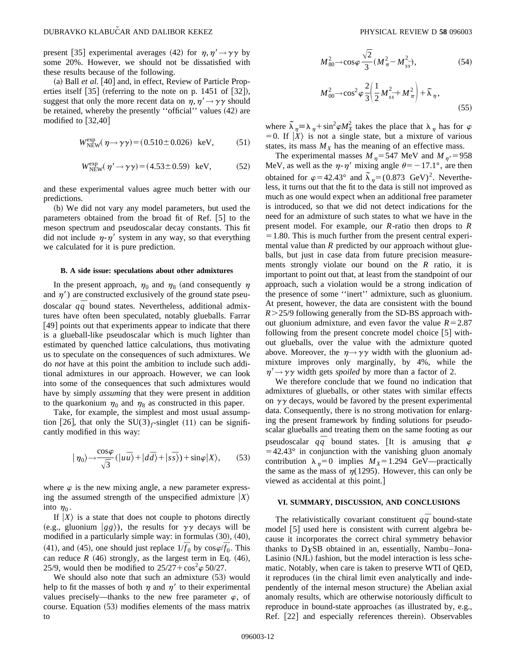present [35] experimental averages (42) for  $\eta, \eta' \rightarrow \gamma \gamma$  by some 20%. However, we should not be dissatisfied with these results because of the following.

 $(a)$  Ball *et al.* [40] and, in effect, Review of Particle Properties itself  $[35]$  (referring to the note on p. 1451 of  $[32]$ ), suggest that only the more recent data on  $\eta, \eta' \rightarrow \gamma \gamma$  should be retained, whereby the presently "official" values (42) are modified to  $[32,40]$ 

$$
W_{\text{NEW}}^{\text{exp}}(\eta \rightarrow \gamma \gamma) = (0.510 \pm 0.026) \text{ keV}, \quad (51)
$$

$$
W_{\text{NEW}}^{\text{exp}}(\eta' \rightarrow \gamma \gamma) = (4.53 \pm 0.59) \text{ keV}, \tag{52}
$$

and these experimental values agree much better with our predictions.

(b) We did not vary any model parameters, but used the parameters obtained from the broad fit of Ref.  $[5]$  to the meson spectrum and pseudoscalar decay constants. This fit did not include  $\eta$ - $\eta'$  system in any way, so that everything we calculated for it is pure prediction.

### **B. A side issue: speculations about other admixtures**

In the present approach,  $\eta_0$  and  $\eta_8$  (and consequently  $\eta$ and  $\eta'$ ) are constructed exclusively of the ground state pseudoscalar  $q\bar{q}$  bound states. Nevertheless, additional admixtures have often been speculated, notably glueballs. Farrar  $[49]$  points out that experiments appear to indicate that there is a glueball-like pseudoscalar which is much lighter than estimated by quenched lattice calculations, thus motivating us to speculate on the consequences of such admixtures. We do *not* have at this point the ambition to include such additional admixtures in our approach. However, we can look into some of the consequences that such admixtures would have by simply *assuming* that they were present in addition to the quarkonium  $\eta_0$  and  $\eta_8$  as constructed in this paper.

Take, for example, the simplest and most usual assumption [26], that only the SU(3)<sub>f</sub>-singlet (11) can be significantly modified in this way:

$$
|\eta_0\rangle \rightarrow \frac{\cos\varphi}{\sqrt{3}} (|u\overline{u}\rangle + |d\overline{d}\rangle + |s\overline{s}\rangle) + \sin\varphi |X\rangle, \qquad (53)
$$

where  $\varphi$  is the new mixing angle, a new parameter expressing the assumed strength of the unspecified admixture  $|X\rangle$ into  $\eta_0$ .

If  $|X\rangle$  is a state that does not couple to photons directly (e.g., gluonium  $|gg\rangle$ ), the results for  $\gamma\gamma$  decays will be modified in a particularly simple way: in formulas  $(30)$ ,  $(40)$ ,  $^{41}$ , and  $^{45}$ , one should just replace  $1/\bar{f}_0$  by  $\cos\varphi/\bar{f}_0$ . This can reduce  $R$  (46) strongly, as the largest term in Eq. (46), 25/9, would then be modified to  $25/27 + \cos^2 \varphi 50/27$ .

We should also note that such an admixture  $(53)$  would help to fit the masses of both  $\eta$  and  $\eta'$  to their experimental values precisely—thanks to the new free parameter  $\varphi$ , of course. Equation  $(53)$  modifies elements of the mass matrix to

$$
M_{80}^2 \to \cos\varphi \frac{\sqrt{2}}{3} (M_{\pi}^2 - M_{ss}^2),
$$
 (54)  

$$
M_{00}^2 \to \cos^2\varphi \frac{2}{3} \left( \frac{1}{2} M_{ss}^2 + M_{\pi}^2 \right) + \tilde{\lambda}_{\eta},
$$
 (55)

where  $\tilde{\lambda}_{\eta} = \lambda_{\eta} + \sin^2 \varphi M_X^2$  takes the place that  $\lambda_{\eta}$  has for  $\varphi$  $=0$ . If  $|X\rangle$  is not a single state, but a mixture of various states, its mass  $M_X$  has the meaning of an effective mass.

The experimental masses  $M_{\eta}$  = 547 MeV and  $M_{\eta'}$  = 958 MeV, as well as the  $\eta$ - $\eta'$  mixing angle  $\theta$ = -17.1°, are then obtained for  $\varphi$ =42.43° and  $\tilde{\lambda}_{\eta}$ =(0.873 GeV)<sup>2</sup>. Nevertheless, it turns out that the fit to the data is still not improved as much as one would expect when an additional free parameter is introduced, so that we did not detect indications for the need for an admixture of such states to what we have in the present model. For example, our *R*-ratio then drops to *R*  $=1.80$ . This is much further from the present central experimental value than *R* predicted by our approach without glueballs, but just in case data from future precision measurements strongly violate our bound on the *R* ratio, it is important to point out that, at least from the standpoint of our approach, such a violation would be a strong indication of the presence of some ''inert'' admixture, such as gluonium. At present, however, the data are consistent with the bound *R*.25/9 following generally from the SD-BS approach without gluonium admixture, and even favor the value  $R=2.87$ following from the present concrete model choice  $[5]$  without glueballs, over the value with the admixture quoted above. Moreover, the  $\eta \rightarrow \gamma \gamma$  width with the gluonium admixture improves only marginally, by 4%, while the  $\eta' \rightarrow \gamma \gamma$  width gets *spoiled* by more than a factor of 2.

We therefore conclude that we found no indication that admixtures of glueballs, or other states with similar effects on  $\gamma\gamma$  decays, would be favored by the present experimental data. Consequently, there is no strong motivation for enlarging the present framework by finding solutions for pseudoscalar glueballs and treating them on the same footing as our pseudoscalar  $q\bar{q}$  bound states. [It is amusing that  $\varphi$  $=42.43^{\circ}$  in conjunction with the vanishing gluon anomaly contribution  $\lambda_n=0$  implies  $M_X=1.294$  GeV—practically the same as the mass of  $\eta(1295)$ . However, this can only be viewed as accidental at this point.]

#### **VI. SUMMARY, DISCUSSION, AND CONCLUSIONS**

The relativistically covariant constituent  $q\bar{q}$  bound-state model [5] used here is consistent with current algebra because it incorporates the correct chiral symmetry behavior thanks to  $D\chi SB$  obtained in an, essentially, Nambu–Jona-Lasinio (NJL) fashion, but the model interaction is less schematic. Notably, when care is taken to preserve WTI of QED, it reproduces (in the chiral limit even analytically and independently of the internal meson structure) the Abelian axial anomaly results, which are otherwise notoriously difficult to reproduce in bound-state approaches (as illustrated by, e.g., Ref. [22] and especially references therein). Observables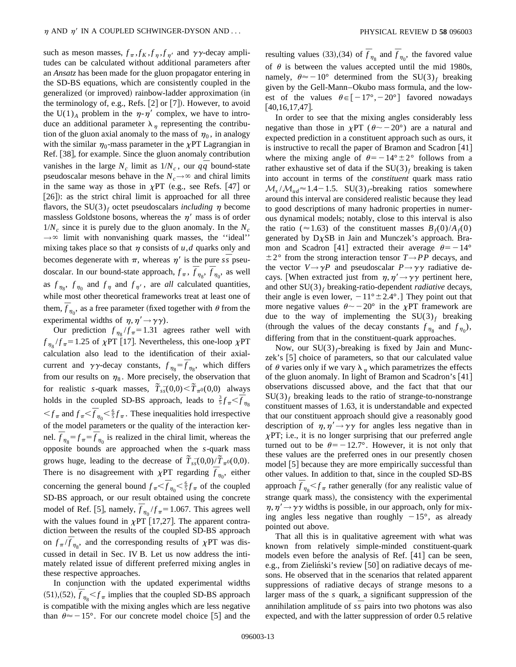such as meson masses,  $f_{\pi}$ ,  $f_K$ ,  $f_{\eta}$ ,  $f_{\eta'}$  and  $\gamma\gamma$ -decay amplitudes can be calculated without additional parameters after an *Ansatz* has been made for the gluon propagator entering in the SD-BS equations, which are consistently coupled in the generalized (or improved) rainbow-ladder approximation (in the terminology of, e.g., Refs.  $[2]$  or  $[7]$ ). However, to avoid the U(1)<sub>A</sub> problem in the  $\eta$ - $\eta'$  complex, we have to introduce an additional parameter  $\lambda_{\eta}$  representing the contribution of the gluon axial anomaly to the mass of  $\eta_0$ , in analogy with the similar  $\eta_0$ -mass parameter in the  $\chi$ PT Lagrangian in Ref. [38], for example. Since the gluon anomaly contribution vanishes in the large  $N_c$  limit as  $1/N_c$ , our  $q\bar{q}$  bound-state pseudoscalar mesons behave in the  $N_c \rightarrow \infty$  and chiral limits in the same way as those in  $\chi PT$  (e.g., see Refs. [47] or  $[26]$ : as the strict chiral limit is approached for all three flavors, the SU(3)<sub>f</sub> octet pseudoscalars *including*  $\eta$  become massless Goldstone bosons, whereas the  $\eta'$  mass is of order  $1/N_c$  since it is purely due to the gluon anomaly. In the  $N_c$ →  $\infty$  limit with nonvanishing quark masses, the "ideal" mixing takes place so that  $\eta$  consists of  $u$ , *d* quarks only and becomes degenerate with  $\pi$ , whereas  $\eta'$  is the pure *ss* pseudoscalar. In our bound-state approach,  $f_{\pi}$ ,  $\overline{f}_{\eta_8}$ ,  $\overline{f}_{\eta_0}$ , as well as  $f_{\eta_8}$ ,  $f_{\eta_0}$  and  $f_{\eta}$  and  $f_{\eta'}$ , are *all* calculated quantities, while most other theoretical frameworks treat at least one of them,  $\bar{f}_{\eta_0}$ , as a free parameter (fixed together with  $\theta$  from the experimental widths of  $\eta$ ,  $\eta' \rightarrow \gamma \gamma$ ).

Our prediction  $f_{\eta_8}/f_{\pi} = 1.31$  agrees rather well with  $f_{\eta_{\rm e}}/f_{\pi} = 1.25$  of  $\chi$ PT [17]. Nevertheless, this one-loop  $\chi$ PT calculation also lead to the identification of their axialcurrent and  $\gamma \gamma$ -decay constants,  $f_{\eta_8} = \overline{f}_{\eta_8}$ , which differs from our results on  $\eta_8$ . More precisely, the observation that for realistic *s*-quark masses,  $\tilde{T}_{s\bar{s}}(0,0) < \tilde{T}_{\pi^0}(0,0)$  always holds in the coupled SD-BS approach, leads to  $\frac{3}{5} f_{\pi} < \overline{f}_{\eta_{8}}$  $\leq f_{\pi}$  and  $f_{\pi} < \bar{f}_{\eta_0} < \frac{6}{5} f_{\pi}$ . These inequalities hold irrespective of the model parameters or the quality of the interaction kernel.  $\overline{f}_{\eta_8} = f_{\pi} = \overline{f}_{\eta_0}$  is realized in the chiral limit, whereas the opposite bounds are approached when the *s*-quark mass grows huge, leading to the decrease of  $\tilde{T}_{s\bar{s}}(0,0)/\tilde{T}_{\pi^0}(0,0)$ . There is no disagreement with  $\chi$ PT regarding  $\overline{f}_{\eta_0}$ , either concerning the general bound  $f_{\pi} < f_{\eta_0} < \frac{6}{5} f_{\pi}$  of the coupled SD-BS approach, or our result obtained using the concrete model of Ref. [5], namely,  $\overline{f}_{\eta_0}/f_{\pi} = 1.067$ . This agrees well with the values found in  $\chi$ PT [17,27]. The apparent contradiction between the results of the coupled SD-BS approach on  $f_{\pi}/\overline{f}_{\eta_8}$ , and the corresponding results of  $\chi PT$  was discussed in detail in Sec. IV B. Let us now address the intimately related issue of different preferred mixing angles in these respective approaches.

In conjunction with the updated experimental widths  $^{111}$ ,  $^{121}$ ,  $^{131}$ ,  $^{151}$ ,  $^{161}$ ,  $^{161}$ ,  $^{161}$ ,  $^{161}$ ,  $^{161}$ ,  $^{161}$ ,  $^{161}$ ,  $^{161}$ ,  $^{161}$ ,  $^{161}$ ,  $^{161}$ ,  $^{161}$ ,  $^{161}$ ,  $^{161}$ ,  $^{161}$ ,  $^{161}$ ,  $^{161}$ ,  $^{161}$ ,  $^{161}$ ,  $^{161}$ ,  $^{161$ is compatible with the mixing angles which are less negative than  $\theta \approx -15^{\circ}$ . For our concrete model choice [5] and the

resulting values (33), (34) of  $\overline{f}_{\eta_8}$  and  $\overline{f}_{\eta_0}$ , the favored value of  $\theta$  is between the values accepted until the mid 1980s, namely,  $\theta \approx -10^{\circ}$  determined from the SU(3)<sub>f</sub> breaking given by the Gell-Mann–Okubo mass formula, and the lowest of the values  $\theta \in [-17^{\circ}, -20^{\circ}]$  favored nowadays  $[40,16,17,47]$ .

In order to see that the mixing angles considerably less negative than those in  $\chi$ PT ( $\theta \sim -20^{\circ}$ ) are a natural and expected prediction in a constituent approach such as ours, it is instructive to recall the paper of Bramon and Scadron  $[41]$ where the mixing angle of  $\theta = -14^{\circ} \pm 2^{\circ}$  follows from a rather exhaustive set of data if the  $SU(3)_f$  breaking is taken into account in terms of the *constituent* quark mass ratio  $M_s/M_{ud} \approx 1.4-1.5$ . SU(3)<sub>f</sub>-breaking ratios somewhere around this interval are considered realistic because they lead to good descriptions of many hadronic properties in numerous dynamical models; notably, close to this interval is also the ratio ( $\approx$ 1.63) of the constituent masses  $B_f(0)/A_f(0)$ generated by  $D\chi SB$  in Jain and Munczek's approach. Bramon and Scadron [41] extracted their average  $\theta = -14^{\circ}$  $± 2°$  from the strong interaction tensor *T→PP* decays, and the vector  $V \rightarrow \gamma P$  and pseudoscalar  $P \rightarrow \gamma \gamma$  radiative decays. [When extracted just from  $\eta, \eta' \rightarrow \gamma \gamma$  pertinent here, and other SU(3)*<sup>f</sup>* breaking-ratio-dependent *radiative* decays, their angle is even lower,  $-11^{\circ} \pm 2.4^{\circ}$ .] They point out that more negative values  $\theta \sim -20^{\circ}$  in the  $\chi$ PT framework are due to the way of implementing the  $SU(3)_f$  breaking (through the values of the decay constants  $f_{\eta_8}$  and  $f_{\eta_0}$ ), differing from that in the constituent-quark approaches.

Now, our  $SU(3)_f$ -breaking is fixed by Jain and Munczek's  $[5]$  choice of parameters, so that our calculated value of  $\theta$  varies only if we vary  $\lambda_n$  which parametrizes the effects of the gluon anomaly. In light of Bramon and Scadron's  $[41]$ observations discussed above, and the fact that that our  $SU(3)_f$  breaking leads to the ratio of strange-to-nonstrange constituent masses of 1.63, it is understandable and expected that our constituent approach should give a reasonably good description of  $\eta$ ,  $\eta' \rightarrow \gamma \gamma$  for angles less negative than in  $\chi$ PT; i.e., it is no longer surprising that our preferred angle turned out to be  $\theta$ = -12.7°. However, it is not only that these values are the preferred ones in our presently chosen model  $|5|$  because they are more empirically successful than other values. In addition to that, since in the coupled SD-BS approach  $\bar{f}_{\eta_s} < f_{\pi}$  rather generally (for any realistic value of strange quark mass), the consistency with the experimental  $\eta$ ,  $\eta' \rightarrow \gamma \gamma$  widths is possible, in our approach, only for mixing angles less negative than roughly  $-15^{\circ}$ , as already pointed out above.

That all this is in qualitative agreement with what was known from relatively simple-minded constituent-quark models even before the analysis of Ref.  $[41]$  can be seen, e.g., from Zieliński's review [50] on radiative decays of mesons. He observed that in the scenarios that related apparent suppressions of radiative decays of strange mesons to a larger mass of the *s* quark, a significant suppression of the annihilation amplitude of  $s\overline{s}$  pairs into two photons was also expected, and with the latter suppression of order 0.5 relative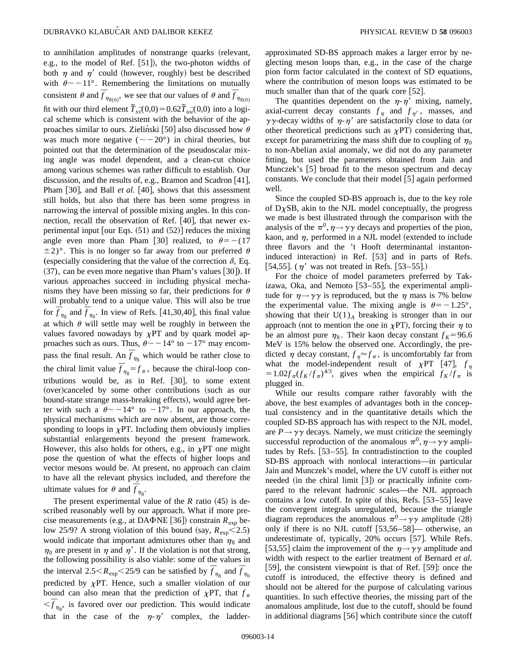to annihilation amplitudes of nonstrange quarks (relevant, e.g., to the model of Ref.  $[51]$ ), the two-photon widths of both  $\eta$  and  $\eta'$  could (however, roughly) best be described with  $\theta \sim -11^{\circ}$ . Remembering the limitations on mutually consistent  $\theta$  and  $\overline{f}_{\eta_{8(0)}},$  we see that our values of  $\theta$  and  $\overline{f}_{\eta_{8(0)}}$ fit with our third element  $\tilde{T}_{s\bar{s}}(0,0) = 0.62\tilde{T}_{u\bar{u}}(0,0)$  into a logical scheme which is consistent with the behavior of the approaches similar to ours. Zieliński [50] also discussed how  $\theta$ was much more negative  $({\sim} -20^{\circ})$  in chiral theories, but pointed out that the determination of the pseudoscalar mixing angle was model dependent, and a clean-cut choice among various schemes was rather difficult to establish. Our discussion, and the results of, e.g., Bramon and Scadron  $[41]$ , Pham [30], and Ball *et al.* [40], shows that this assessment still holds, but also that there has been some progress in narrowing the interval of possible mixing angles. In this connection, recall the observation of Ref.  $[40]$ , that newer experimental input [our Eqs.  $(51)$  and  $(52)$ ] reduces the mixing angle even more than Pham [30] realized, to  $\theta = -(17)$  $\pm 2$ °. This is no longer so far away from our preferred  $\theta$ (especially considering that the value of the correction  $\delta$ , Eq.  $(37)$ , can be even more negative than Pham's values  $[30]$ . If various approaches succeed in including physical mechanisms they have been missing so far, their predictions for  $\theta$ will probably tend to a unique value. This will also be true for  $\overline{f}_{\eta_8}$  and  $\overline{f}_{\eta_0}$ . In view of Refs. [41,30,40], this final value at which  $\theta$  will settle may well be roughly in between the values favored nowadays by  $\chi PT$  and by quark model approaches such as ours. Thus,  $\theta \sim -14^{\circ}$  to  $-17^{\circ}$  may encompass the final result. An  $\bar{f}_{\eta_8}$  which would be rather close to the chiral limit value  $\overline{f}_{\eta_8} = f_{\pi}$ , because the chiral-loop contributions would be, as in Ref.  $[30]$ , to some extent (over)canceled by some other contributions (such as our bound-state strange mass-breaking effects), would agree better with such a  $\theta \sim -14^{\circ}$  to  $-17^{\circ}$ . In our approach, the physical mechanisms which are now absent, are those corresponding to loops in  $\chi$ PT. Including them obviously implies substantial enlargements beyond the present framework. However, this also holds for others, e.g., in  $\chi PT$  one might pose the question of what the effects of higher loops and vector mesons would be. At present, no approach can claim to have all the relevant physics included, and therefore the ultimate values for  $\theta$  and  $\overline{f}_{\eta_8}$ .

The present experimental value of the  $R$  ratio  $(45)$  is described reasonably well by our approach. What if more precise measurements (e.g., at DA $\Phi$ NE [36]) constrain  $R_{\rm exp}$  below 25/9? A strong violation of this bound (say,  $R_{\text{exp}}$  < 2.5) would indicate that important admixtures other than  $\eta_8$  and  $\eta_0$  are present in  $\eta$  and  $\eta'$ . If the violation is not that strong, the following possibility is also viable: some of the values in the interval  $2.5 < R_{exp} < 25/9$  can be satisfied by  $\bar{f}_{\eta_8}$  and  $\bar{f}_{\eta_0}$ predicted by  $\chi$ PT. Hence, such a smaller violation of our bound can also mean that the prediction of  $\chi PT$ , that  $f_{\pi}$  $\langle \vec{f}_{\eta_8}$ , is favored over our prediction. This would indicate that in the case of the  $\eta$ - $\eta'$  complex, the ladderapproximated SD-BS approach makes a larger error by neglecting meson loops than, e.g., in the case of the charge pion form factor calculated in the context of SD equations, where the contribution of meson loops was estimated to be much smaller than that of the quark core  $[52]$ .

The quantities dependent on the  $\eta$ - $\eta'$  mixing, namely, axial-current decay constants  $f_{\eta}$  and  $f_{\eta'}$ , masses, and  $\gamma\gamma$ -decay widths of  $\eta$ - $\eta'$  are satisfactorily close to data (or other theoretical predictions such as  $\chi PT$  considering that, except for parametrizing the mass shift due to coupling of  $\eta_0$ to non-Abelian axial anomaly, we did not do any parameter fitting, but used the parameters obtained from Jain and Munczek's  $[5]$  broad fit to the meson spectrum and decay constants. We conclude that their model  $[5]$  again performed well.

Since the coupled SD-BS approach is, due to the key role of  $D<sub>X</sub>SB$ , akin to the NJL model conceptually, the progress we made is best illustrated through the comparison with the analysis of the  $\pi^0$ ,  $\eta \rightarrow \gamma \gamma$  decays and properties of the pion, kaon, and  $\eta$ , performed in a NJL model (extended to include three flavors and the 't Hooft determinantal instantoninduced interaction) in Ref. [53] and in parts of Refs. [54,55]. ( $\eta'$  was not treated in Refs. [53–55].)

For the choice of model parameters preferred by Takizawa, Oka, and Nemoto  $[53-55]$ , the experimental amplitude for  $\eta \rightarrow \gamma \gamma$  is reproduced, but the  $\eta$  mass is 7% below the experimental value. The mixing angle is  $\theta = -1.25^{\circ}$ , showing that their  $U(1)<sub>A</sub>$  breaking is stronger than in our approach (not to mention the one in  $\chi PT$ ), forcing their  $\eta$  to be an almost pure  $\eta_8$ . Their kaon decay constant  $f_K$ =96.6 MeV is 15% below the observed one. Accordingly, the predicted  $\eta$  decay constant,  $f_{\eta} \approx f_{\pi}$ , is uncomfortably far from what the model-independent result of  $\chi PT$  [47],  $f_{\eta}$  $=1.02 f_\pi (f_K/f_\pi)^{4/3}$ , gives when the empirical  $f_K/f_\pi$  is plugged in.

While our results compare rather favorably with the above, the best examples of advantages both in the conceptual consistency and in the quantitative details which the coupled SD-BS approach has with respect to the NJL model, are  $P \rightarrow \gamma \gamma$  decays. Namely, we must criticize the seemingly successful reproduction of the anomalous  $\pi^0$ ,  $\eta \rightarrow \gamma \gamma$  amplitudes by Refs.  $[53-55]$ . In contradistinction to the coupled SD-BS approach with nonlocal interactions—in particular Jain and Munczek's model, where the UV cutoff is either not needed (in the chiral limit  $[3]$ ) or practically infinite compared to the relevant hadronic scales—the NJL approach contains a low cutoff. In spite of this, Refs.  $[53-55]$  leave the convergent integrals unregulated, because the triangle diagram reproduces the anomalous  $\pi^0 \rightarrow \gamma \gamma$  amplitude (28) only if there is no NJL cutoff  $[53,56-58]$ — otherwise, an underestimate of, typically, 20% occurs [57]. While Refs.  $|53,55|$  claim the improvement of the  $\eta \rightarrow \gamma \gamma$  amplitude and width with respect to the earlier treatment of Bernard *et al.* [59], the consistent viewpoint is that of Ref.  $[59]$ : once the cutoff is introduced, the effective theory is defined and should not be altered for the purpose of calculating various quantities. In such effective theories, the missing part of the anomalous amplitude, lost due to the cutoff, should be found in additional diagrams  $[56]$  which contribute since the cutoff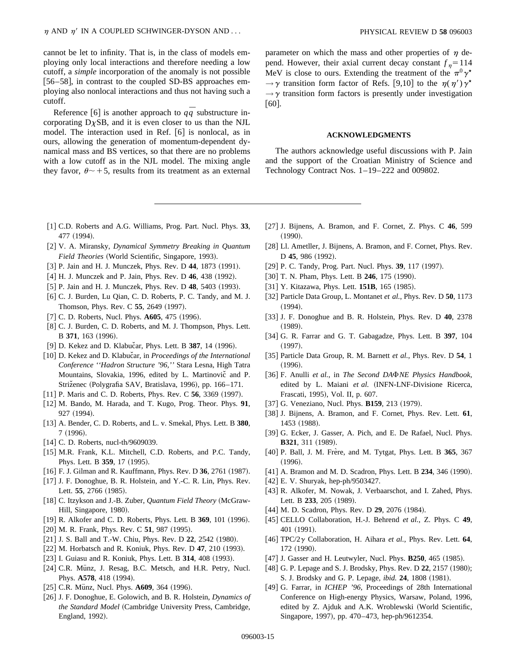cannot be let to infinity. That is, in the class of models employing only local interactions and therefore needing a low cutoff, a *simple* incorporation of the anomaly is not possible [56–58], in contrast to the coupled SD-BS approaches employing also nonlocal interactions and thus not having such a cutoff.

Reference [6] is another approach to  $qq$  substructure incorporating  $D<sub>X</sub>SB$ , and it is even closer to us than the NJL model. The interaction used in Ref.  $[6]$  is nonlocal, as in ours, allowing the generation of momentum-dependent dynamical mass and BS vertices, so that there are no problems with a low cutoff as in the NJL model. The mixing angle they favor,  $\theta \sim +5$ , results from its treatment as an external

- [1] C.D. Roberts and A.G. Williams, Prog. Part. Nucl. Phys. 33, 477 (1994).
- @2# V. A. Miransky, *Dynamical Symmetry Breaking in Quantum Field Theories* (World Scientific, Singapore, 1993).
- [3] P. Jain and H. J. Munczek, Phys. Rev. D 44, 1873 (1991).
- [4] H. J. Munczek and P. Jain, Phys. Rev. D 46, 438 (1992).
- [5] P. Jain and H. J. Munczek, Phys. Rev. D 48, 5403 (1993).
- [6] C. J. Burden, Lu Qian, C. D. Roberts, P. C. Tandy, and M. J. Thomson, Phys. Rev. C 55, 2649 (1997).
- [7] C. D. Roberts, Nucl. Phys. **A605**, 475 (1996).
- [8] C. J. Burden, C. D. Roberts, and M. J. Thompson, Phys. Lett. B 371, 163 (1996).
- [9] D. Kekez and D. Klabučar, Phys. Lett. B 387, 14 (1996).
- [10] D. Kekez and D. Klabučar, in *Proceedings of the International Conference ''Hadron Structure '96,''* Stara Lesna, High Tatra Mountains, Slovakia, 1996, edited by L. Martinovic and P. Striženec (Polygrafia SAV, Bratislava, 1996), pp. 166–171.
- [11] P. Maris and C. D. Roberts, Phys. Rev. C 56, 3369 (1997).
- [12] M. Bando, M. Harada, and T. Kugo, Prog. Theor. Phys. 91, 927 (1994).
- [13] A. Bender, C. D. Roberts, and L. v. Smekal, Phys. Lett. B 380,  $7 (1996).$
- $[14]$  C. D. Roberts, nucl-th/9609039.
- [15] M.R. Frank, K.L. Mitchell, C.D. Roberts, and P.C. Tandy, Phys. Lett. B 359, 17 (1995).
- [16] F. J. Gilman and R. Kauffmann, Phys. Rev. D 36, 2761 (1987).
- [17] J. F. Donoghue, B. R. Holstein, and Y.-C. R. Lin, Phys. Rev. Lett. 55, 2766 (1985).
- [18] C. Itzykson and J.-B. Zuber, *Quantum Field Theory* (McGraw-Hill, Singapore, 1980).
- [19] R. Alkofer and C. D. Roberts, Phys. Lett. B 369, 101 (1996).
- $[20]$  M. R. Frank, Phys. Rev. C 51, 987  $(1995)$ .
- [21] J. S. Ball and T.-W. Chiu, Phys. Rev. D 22, 2542 (1980).
- [22] M. Horbatsch and R. Koniuk, Phys. Rev. D 47, 210 (1993).
- [23] I. Guiasu and R. Koniuk, Phys. Lett. B **314**, 408 (1993).
- [24] C.R. Münz, J. Resag, B.C. Metsch, and H.R. Petry, Nucl. Phys. A578, 418 (1994).
- [25] C.R. Münz, Nucl. Phys. **A609**, 364 (1996).
- @26# J. F. Donoghue, E. Golowich, and B. R. Holstein, *Dynamics of the Standard Model* (Cambridge University Press, Cambridge, England, 1992).

parameter on which the mass and other properties of  $\eta$  depend. However, their axial current decay constant  $f_n = 114$ MeV is close to ours. Extending the treatment of the  $\pi^0 \gamma^*$  $\rightarrow \gamma$  transition form factor of Refs. [9,10] to the  $\eta(\eta')\gamma'$  $\rightarrow \gamma$  transition form factors is presently under investigation  $|60|$ .

### **ACKNOWLEDGMENTS**

The authors acknowledge useful discussions with P. Jain and the support of the Croatian Ministry of Science and Technology Contract Nos. 1–19–222 and 009802.

- [27] J. Bijnens, A. Bramon, and F. Cornet, Z. Phys. C 46, 599  $(1990).$
- [28] Ll. Ametller, J. Bijnens, A. Bramon, and F. Cornet, Phys. Rev. D 45, 986 (1992).
- [29] P. C. Tandy, Prog. Part. Nucl. Phys. **39**, 117 (1997).
- [30] T. N. Pham, Phys. Lett. B 246, 175 (1990).
- [31] Y. Kitazawa, Phys. Lett. **151B**, 165 (1985).
- [32] Particle Data Group, L. Montanet *et al.*, Phys. Rev. D 50, 1173  $(1994).$
- @33# J. F. Donoghue and B. R. Holstein, Phys. Rev. D **40**, 2378  $(1989)$ .
- [34] G. R. Farrar and G. T. Gabagadze, Phys. Lett. B 397, 104  $(1997).$
- [35] Particle Data Group, R. M. Barnett *et al.*, Phys. Rev. D 54, 1  $(1996).$
- [36] F. Anulli et al., in *The Second DA<sup>D</sup>NE Physics Handbook*, edited by L. Maiani et al. (INFN-LNF-Divisione Ricerca, Frascati, 1995), Vol. II, p. 607.
- [37] G. Veneziano, Nucl. Phys. **B159**, 213 (1979).
- [38] J. Bijnens, A. Bramon, and F. Cornet, Phys. Rev. Lett. **61**, 1453 (1988).
- [39] G. Ecker, J. Gasser, A. Pich, and E. De Rafael, Nucl. Phys. **B321**, 311 (1989).
- [40] P. Ball, J. M. Frère, and M. Tytgat, Phys. Lett. B 365, 367  $(1996).$
- [41] A. Bramon and M. D. Scadron, Phys. Lett. B 234, 346 (1990).
- [42] E. V. Shuryak, hep-ph/9503427.
- [43] R. Alkofer, M. Nowak, J. Verbaarschot, and I. Zahed, Phys. Lett. B 233, 205 (1989).
- [44] M. D. Scadron, Phys. Rev. D **29**, 2076 (1984).
- [45] CELLO Collaboration, H.-J. Behrend *et al.*, Z. Phys. C 49, 401 (1991).
- [46]  $TPC/2\gamma$  Collaboration, H. Aihara *et al.*, Phys. Rev. Lett. **64**, 172 (1990).
- [47] J. Gasser and H. Leutwyler, Nucl. Phys. **B250**, 465 (1985).
- [48] G. P. Lepage and S. J. Brodsky, Phys. Rev. D 22, 2157 (1980); S. J. Brodsky and G. P. Lepage, *ibid.* **24**, 1808 (1981).
- [49] G. Farrar, in *ICHEP '96*, Proceedings of 28th International Conference on High-energy Physics, Warsaw, Poland, 1996, edited by Z. Ajduk and A.K. Wroblewski (World Scientific, Singapore, 1997), pp. 470-473, hep-ph/9612354.